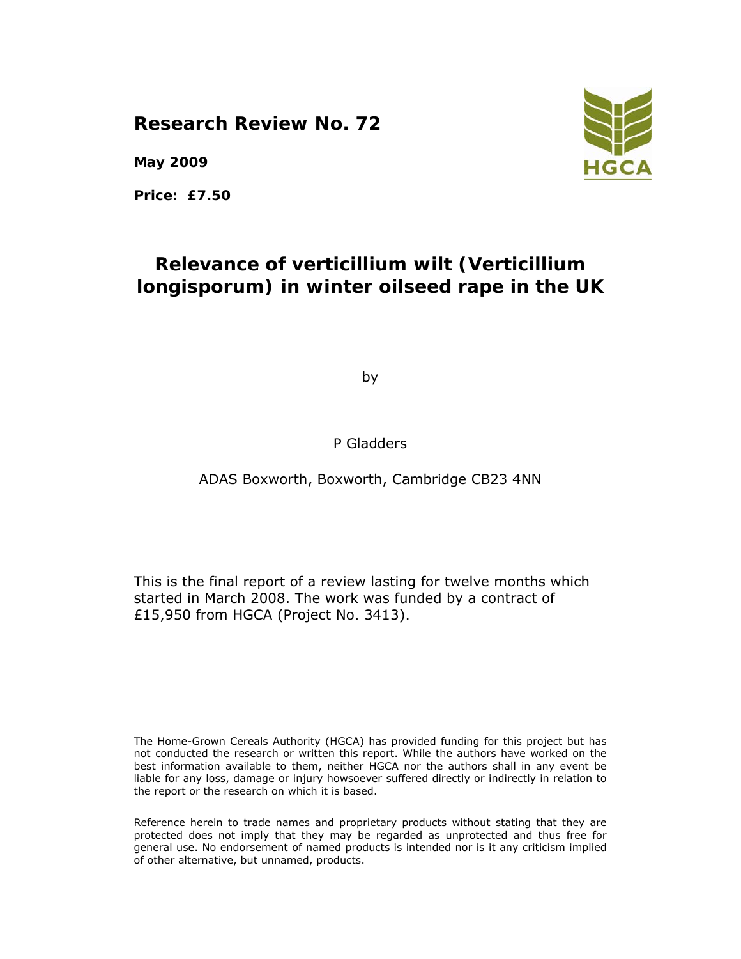**Research Review No. 72** 

**May 2009** 

**Price: £7.50** 

# **Relevance of verticillium wilt (***Verticillium longisporum***) in winter oilseed rape in the UK**

by

### P Gladders

### ADAS Boxworth, Boxworth, Cambridge CB23 4NN

This is the final report of a review lasting for twelve months which started in March 2008. The work was funded by a contract of £15,950 from HGCA (Project No. 3413).

The Home-Grown Cereals Authority (HGCA) has provided funding for this project but has not conducted the research or written this report. While the authors have worked on the best information available to them, neither HGCA nor the authors shall in any event be liable for any loss, damage or injury howsoever suffered directly or indirectly in relation to the report or the research on which it is based.

Reference herein to trade names and proprietary products without stating that they are protected does not imply that they may be regarded as unprotected and thus free for general use. No endorsement of named products is intended nor is it any criticism implied of other alternative, but unnamed, products.

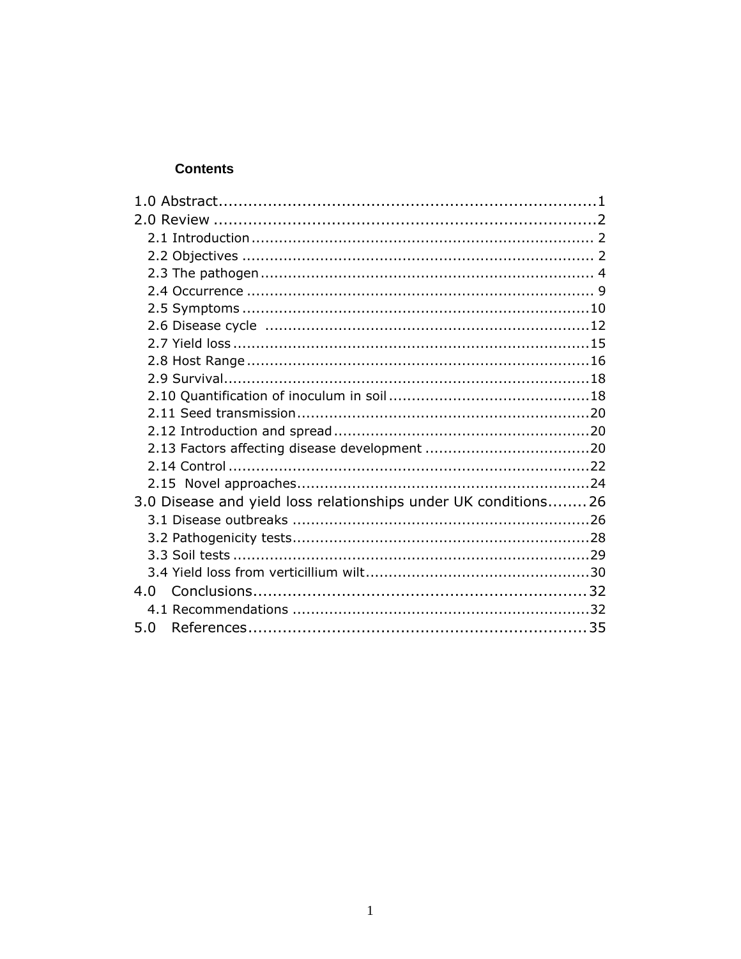#### **Contents**

| 3.0 Disease and yield loss relationships under UK conditions26 |  |
|----------------------------------------------------------------|--|
|                                                                |  |
|                                                                |  |
|                                                                |  |
|                                                                |  |
|                                                                |  |
|                                                                |  |
| 5.0                                                            |  |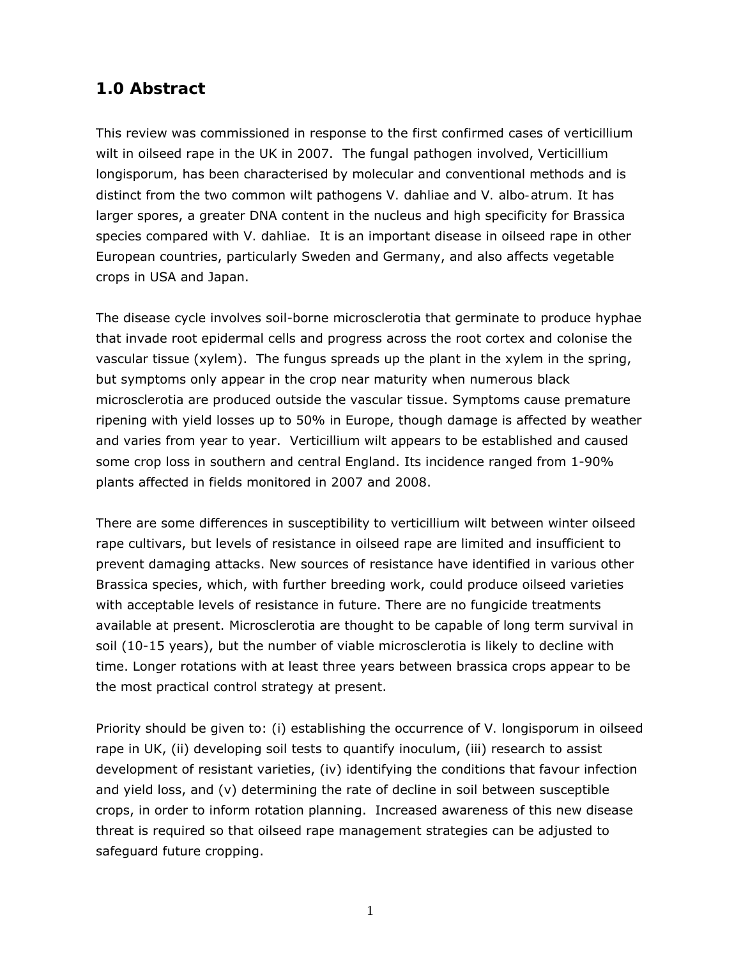## **1.0 Abstract**

This review was commissioned in response to the first confirmed cases of verticillium wilt in oilseed rape in the UK in 2007. The fungal pathogen involved, *Verticillium longisporum,* has been characterised by molecular and conventional methods and is distinct from the two common wilt pathogens *V. dahliae* and *V. albo-atrum.* It has larger spores, a greater DNA content in the nucleus and high specificity for *Brassica*  species compared with *V. dahliae*. It is an important disease in oilseed rape in other European countries, particularly Sweden and Germany, and also affects vegetable crops in USA and Japan.

The disease cycle involves soil-borne microsclerotia that germinate to produce hyphae that invade root epidermal cells and progress across the root cortex and colonise the vascular tissue (xylem). The fungus spreads up the plant in the xylem in the spring, but symptoms only appear in the crop near maturity when numerous black microsclerotia are produced outside the vascular tissue. Symptoms cause premature ripening with yield losses up to 50% in Europe, though damage is affected by weather and varies from year to year. Verticillium wilt appears to be established and caused some crop loss in southern and central England. Its incidence ranged from 1-90% plants affected in fields monitored in 2007 and 2008.

There are some differences in susceptibility to verticillium wilt between winter oilseed rape cultivars, but levels of resistance in oilseed rape are limited and insufficient to prevent damaging attacks. New sources of resistance have identified in various other *Brassica* species, which, with further breeding work, could produce oilseed varieties with acceptable levels of resistance in future. There are no fungicide treatments available at present. Microsclerotia are thought to be capable of long term survival in soil (10-15 years), but the number of viable microsclerotia is likely to decline with time. Longer rotations with at least three years between brassica crops appear to be the most practical control strategy at present.

Priority should be given to: (i) establishing the occurrence of *V. longisporum* in oilseed rape in UK, (ii) developing soil tests to quantify inoculum, (iii) research to assist development of resistant varieties, (iv) identifying the conditions that favour infection and yield loss, and (v) determining the rate of decline in soil between susceptible crops, in order to inform rotation planning. Increased awareness of this new disease threat is required so that oilseed rape management strategies can be adjusted to safeguard future cropping.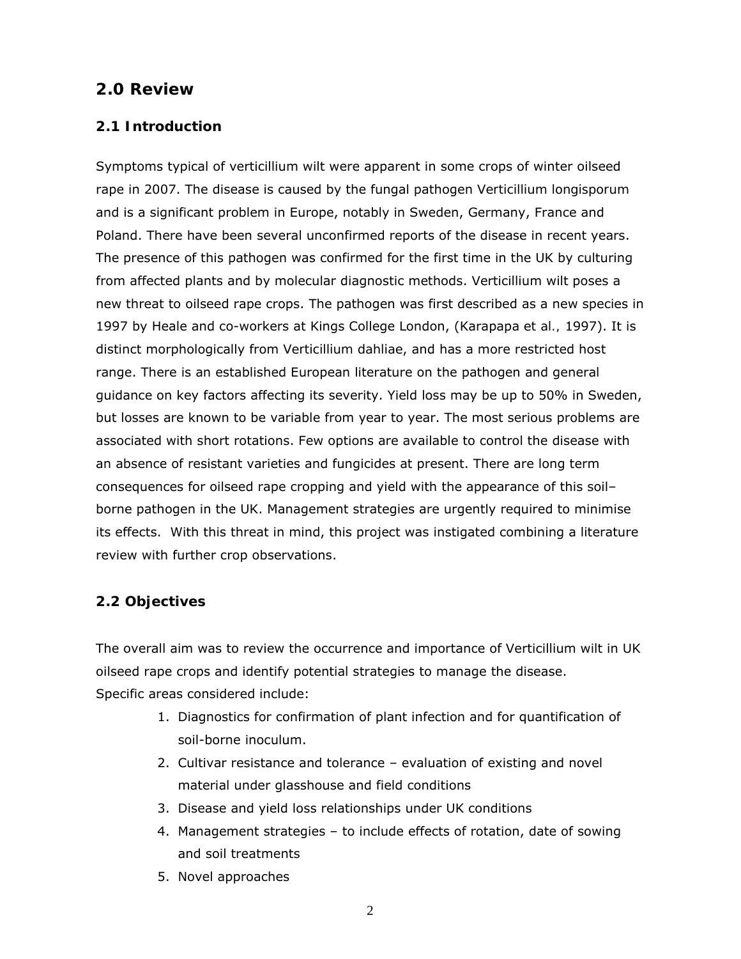### **2.0 Review**

### **2.1 Introduction**

Symptoms typical of verticillium wilt were apparent in some crops of winter oilseed rape in 2007. The disease is caused by the fungal pathogen *Verticillium longisporum* and is a significant problem in Europe, notably in Sweden, Germany, France and Poland. There have been several unconfirmed reports of the disease in recent years. The presence of this pathogen was confirmed for the first time in the UK by culturing from affected plants and by molecular diagnostic methods. Verticillium wilt poses a new threat to oilseed rape crops. The pathogen was first described as a new species in 1997 by Heale and co-workers at Kings College London, (Karapapa *et al.,* 1997). It is distinct morphologically from *Verticillium dahliae*, and has a more restricted host range. There is an established European literature on the pathogen and general guidance on key factors affecting its severity. Yield loss may be up to 50% in Sweden, but losses are known to be variable from year to year. The most serious problems are associated with short rotations. Few options are available to control the disease with an absence of resistant varieties and fungicides at present. There are long term consequences for oilseed rape cropping and yield with the appearance of this soil– borne pathogen in the UK. Management strategies are urgently required to minimise its effects. With this threat in mind, this project was instigated combining a literature review with further crop observations.

### **2.2 Objectives**

The overall aim was to review the occurrence and importance of Verticillium wilt in UK oilseed rape crops and identify potential strategies to manage the disease. Specific areas considered include:

- 1. Diagnostics for confirmation of plant infection and for quantification of soil-borne inoculum.
- 2. Cultivar resistance and tolerance evaluation of existing and novel material under glasshouse and field conditions
- 3. Disease and yield loss relationships under UK conditions
- 4. Management strategies to include effects of rotation, date of sowing and soil treatments
- 5. Novel approaches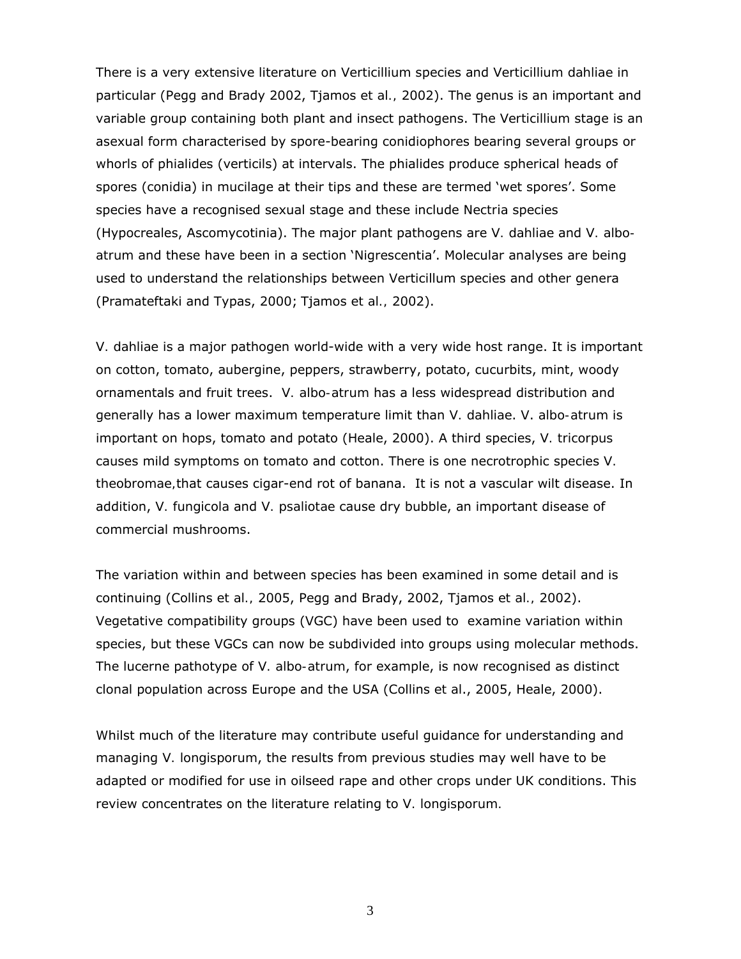There is a very extensive literature on *Verticillium* species and *Verticillium dahliae* in particular (Pegg and Brady 2002, Tjamos *et al.,* 2002). The genus is an important and variable group containing both plant and insect pathogens. The *Verticillium* stage is an asexual form characterised by spore-bearing conidiophores bearing several groups or whorls of phialides (verticils) at intervals. The phialides produce spherical heads of spores (conidia) in mucilage at their tips and these are termed 'wet spores'. Some species have a recognised sexual stage and these include *Nectria* species (Hypocreales, Ascomycotinia). The major plant pathogens are *V. dahliae* and *V. alboatrum* and these have been in a section 'Nigrescentia'. Molecular analyses are being used to understand the relationships between Verticillum species and other genera (Pramateftaki and Typas, 2000; Tjamos *et al.,* 2002).

*V. dahliae* is a major pathogen world-wide with a very wide host range. It is important on cotton, tomato, aubergine, peppers, strawberry, potato, cucurbits, mint, woody ornamentals and fruit trees. *V. albo-atrum* has a less widespread distribution and generally has a lower maximum temperature limit than *V. dahliae*. V. *albo-atrum* is important on hops, tomato and potato (Heale, 2000). A third species, *V. tricorpus* causes mild symptoms on tomato and cotton. There is one necrotrophic species *V. theobromae,*that causes cigar-end rot of banana. It is not a vascular wilt disease. In addition, *V. fungicola* and *V. psaliotae* cause dry bubble, an important disease of commercial mushrooms.

The variation within and between species has been examined in some detail and is continuing (Collins *et al.,* 2005, Pegg and Brady, 2002, Tjamos *et al.,* 2002). Vegetative compatibility groups (VGC) have been used to examine variation within species, but these VGCs can now be subdivided into groups using molecular methods. The lucerne pathotype of *V. albo-atrum*, for example, is now recognised as distinct clonal population across Europe and the USA (Collins *et al*., 2005, Heale, 2000).

Whilst much of the literature may contribute useful guidance for understanding and managing *V. longisporum*, the results from previous studies may well have to be adapted or modified for use in oilseed rape and other crops under UK conditions. This review concentrates on the literature relating to *V. longisporum.*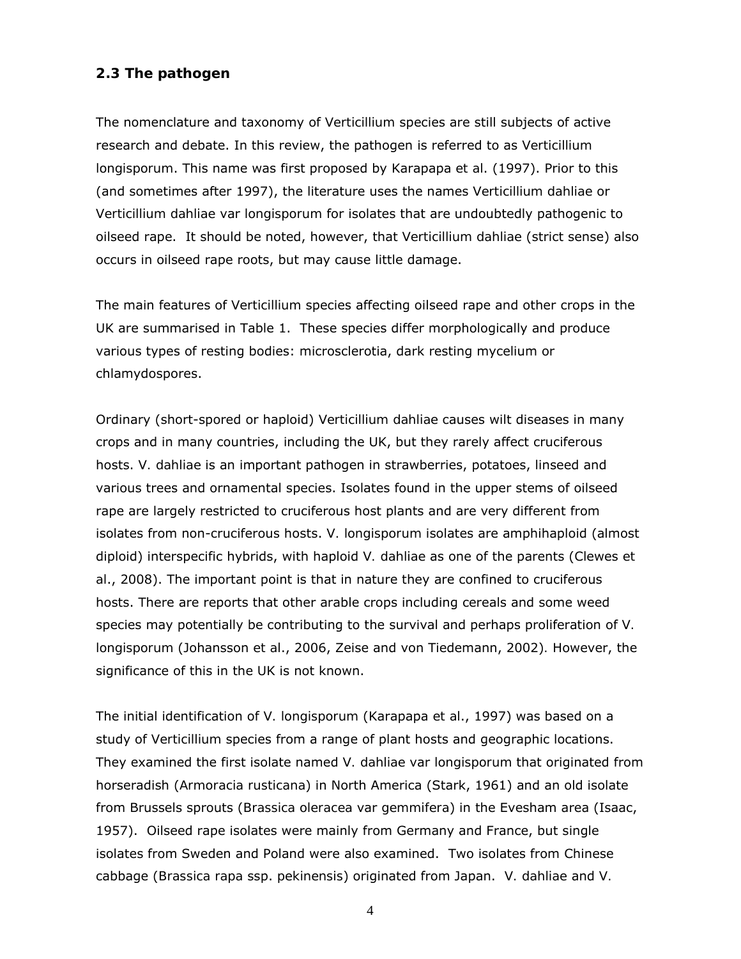### **2.3 The pathogen**

The nomenclature and taxonomy of *Verticillium* species are still subjects of active research and debate. In this review, the pathogen is referred to as *Verticillium longisporum*. This name was first proposed by Karapapa *et al*. (1997). Prior to this (and sometimes after 1997), the literature uses the names *Verticillium dahliae* or *Verticillium dahliae* var *longisporum* for isolates that are undoubtedly pathogenic to oilseed rape. It should be noted, however, that *Verticillium dahliae* (strict sense) also occurs in oilseed rape roots, but may cause little damage.

The main features of *Verticillium* species affecting oilseed rape and other crops in the UK are summarised in Table 1. These species differ morphologically and produce various types of resting bodies: microsclerotia, dark resting mycelium or chlamydospores.

Ordinary (short-spored or haploid) *Verticillium dahliae* causes wilt diseases in many crops and in many countries, including the UK, but they rarely affect cruciferous hosts. *V. dahliae* is an important pathogen in strawberries, potatoes, linseed and various trees and ornamental species. Isolates found in the upper stems of oilseed rape are largely restricted to cruciferous host plants and are very different from isolates from non-cruciferous hosts. *V. longisporum* isolates are amphihaploid (almost diploid) interspecific hybrids, with haploid *V. dahliae* as one of the parents (Clewes *et al*., 2008). The important point is that in nature they are confined to cruciferous hosts. There are reports that other arable crops including cereals and some weed species may potentially be contributing to the survival and perhaps proliferation of *V. longisporum* (Johansson *et al*., 2006, Zeise and von Tiedemann, 2002)*.* However, the significance of this in the UK is not known.

The initial identification of *V. longisporum* (Karapapa *et al*., 1997) was based on a study of *Verticillium* species from a range of plant hosts and geographic locations. They examined the first isolate named *V. dahliae* var *longisporum* that originated from horseradish (*Armoracia rusticana*) in North America (Stark, 1961) and an old isolate from Brussels sprouts (*Brassica oleracea* var *gemmifera*) in the Evesham area (Isaac, 1957). Oilseed rape isolates were mainly from Germany and France, but single isolates from Sweden and Poland were also examined. Two isolates from Chinese cabbage (*Brassica rapa* ssp. *pekinensis*) originated from Japan. *V. dahliae* and *V.*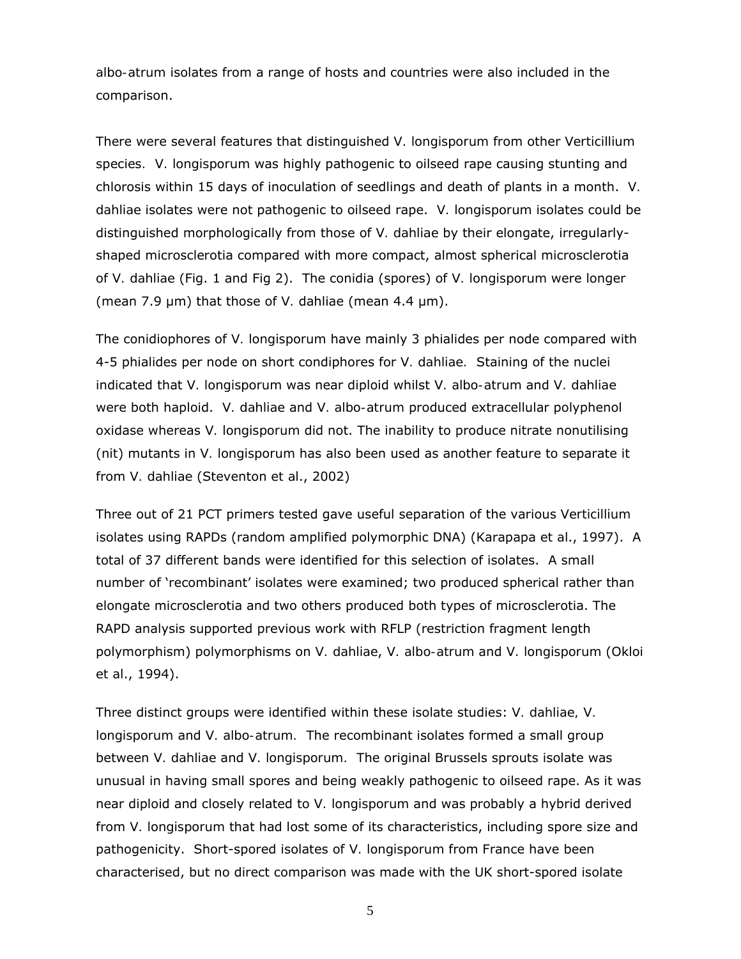*albo-atrum* isolates from a range of hosts and countries were also included in the comparison.

There were several features that distinguished *V. longisporum* from other *Verticillium*  species*. V. longisporum* was highly pathogenic to oilseed rape causing stunting and chlorosis within 15 days of inoculation of seedlings and death of plants in a month. *V. dahliae* isolates were not pathogenic to oilseed rape. *V. longisporum* isolates could be distinguished morphologically from those of *V. dahliae* by their elongate, irregularlyshaped microsclerotia compared with more compact, almost spherical microsclerotia of *V. dahliae* (Fig. 1 and Fig 2). The conidia (spores) of *V. longisporum* were longer (mean 7.9 µm) that those of *V.* dahliae (mean 4.4 µm).

The conidiophores of *V. longisporum* have mainly 3 phialides per node compared with 4-5 phialides per node on short condiphores for *V. dahliae.* Staining of the nuclei indicated that *V. longisporum* was near diploid whilst *V. albo-atrum* and *V. dahliae* were both haploid. *V. dahliae* and *V. albo-atrum* produced extracellular polyphenol oxidase whereas *V. longisporum* did not. The inability to produce nitrate nonutilising (*nit*) mutants in *V. longisporum* has also been used as another feature to separate it from *V. dahliae* (Steventon *et al*., 2002)

Three out of 21 PCT primers tested gave useful separation of the various *Verticillium* isolates using RAPDs (random amplified polymorphic DNA) (Karapapa *et al*., 1997). A total of 37 different bands were identified for this selection of isolates. A small number of 'recombinant' isolates were examined; two produced spherical rather than elongate microsclerotia and two others produced both types of microsclerotia. The RAPD analysis supported previous work with RFLP (restriction fragment length polymorphism) polymorphisms on *V. dahliae*, *V. albo-atrum* and *V. longisporum* (Okloi *et al*., 1994).

Three distinct groups were identified within these isolate studies: *V. dahliae, V. longisporum* and *V. albo-atrum.* The recombinant isolates formed a small group between *V. dahliae* and *V. longisporum.* The original Brussels sprouts isolate was unusual in having small spores and being weakly pathogenic to oilseed rape. As it was near diploid and closely related to *V. longisporum* and was probably a hybrid derived from *V. longisporum* that had lost some of its characteristics, including spore size and pathogenicity. Short-spored isolates of *V. longisporum* from France have been characterised, but no direct comparison was made with the UK short-spored isolate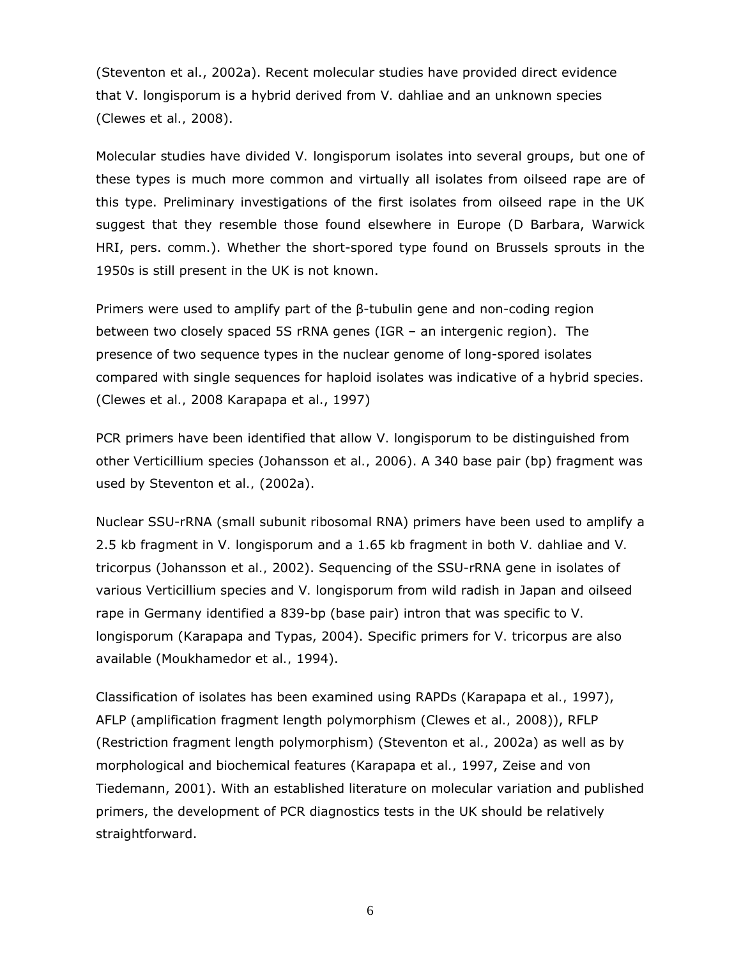(Steventon *et al*., 2002a). Recent molecular studies have provided direct evidence that *V. longisporum* is a hybrid derived from *V. dahliae* and an unknown species (Clewes *et al.,* 2008).

Molecular studies have divided *V. longisporum* isolates into several groups, but one of these types is much more common and virtually all isolates from oilseed rape are of this type. Preliminary investigations of the first isolates from oilseed rape in the UK suggest that they resemble those found elsewhere in Europe (D Barbara, Warwick HRI, pers. comm.). Whether the short-spored type found on Brussels sprouts in the 1950s is still present in the UK is not known.

Primers were used to amplify part of the β-tubulin gene and non-coding region between two closely spaced 5S rRNA genes (IGR – an intergenic region). The presence of two sequence types in the nuclear genome of long-spored isolates compared with single sequences for haploid isolates was indicative of a hybrid species. (Clewes *et al.,* 2008 Karapapa *et al*., 1997)

PCR primers have been identified that allow *V. longisporum* to be distinguished from other *Verticillium* species (Johansson *et al.,* 2006). A 340 base pair (bp) fragment was used by Steventon *et al.,* (2002a).

Nuclear SSU-rRNA (small subunit ribosomal RNA) primers have been used to amplify a 2.5 kb fragment in *V. longisporum* and a 1.65 kb fragment in both *V. dahliae* and *V. tricorpus* (Johansson *et al.,* 2002). Sequencing of the SSU-rRNA gene in isolates of various *Verticillium* species and *V. longisporum* from wild radish in Japan and oilseed rape in Germany identified a 839-bp (base pair) intron that was specific to *V. longisporum* (Karapapa and Typas, 2004). Specific primers for *V. tricorpus* are also available (Moukhamedor *et al.,* 1994).

Classification of isolates has been examined using RAPDs (Karapapa *et al.,* 1997), AFLP (amplification fragment length polymorphism (Clewes *et al.,* 2008)), RFLP (Restriction fragment length polymorphism) (Steventon *et al.,* 2002a) as well as by morphological and biochemical features (Karapapa *et al.,* 1997, Zeise and von Tiedemann, 2001). With an established literature on molecular variation and published primers, the development of PCR diagnostics tests in the UK should be relatively straightforward.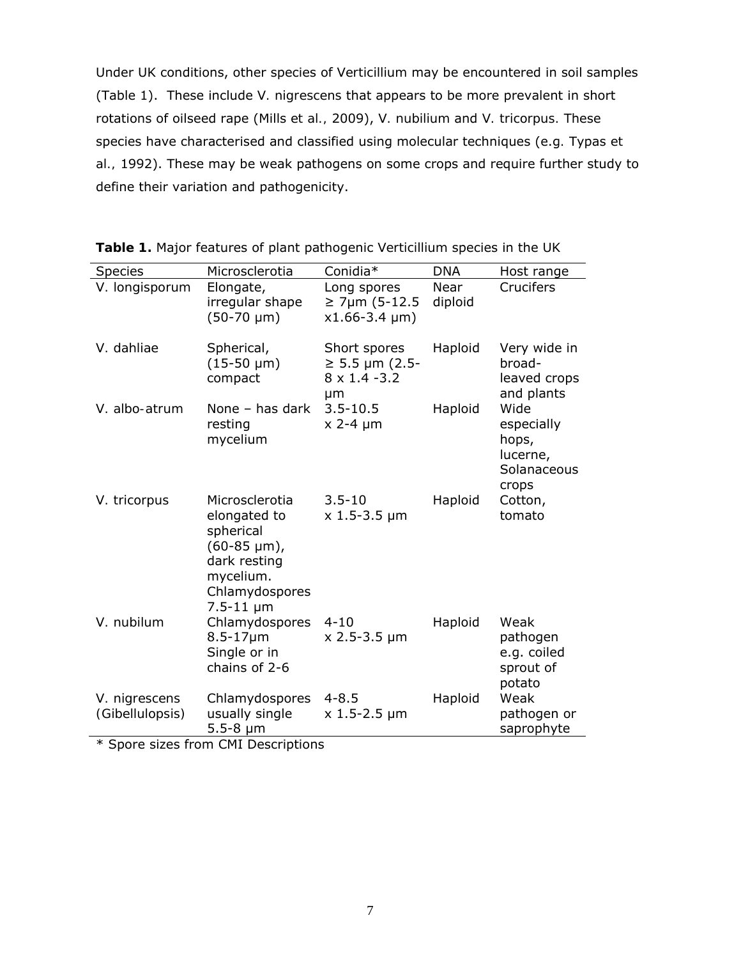Under UK conditions, other species of *Verticillium* may be encountered in soil samples (Table 1). These include *V. nigrescens* that appears to be more prevalent in short rotations of oilseed rape (Mills *et al.,* 2009), *V. nubilium* and *V. tricorpus.* These species have characterised and classified using molecular techniques (e.g*.* Typas *et al.,* 1992). These may be weak pathogens on some crops and require further study to define their variation and pathogenicity.

| <b>Species</b>                   | Microsclerotia                                                                                                                      | Conidia*                                                          | <b>DNA</b>      | Host range                                                      |
|----------------------------------|-------------------------------------------------------------------------------------------------------------------------------------|-------------------------------------------------------------------|-----------------|-----------------------------------------------------------------|
| V. longisporum                   | Elongate,<br>irregular shape<br>$(50-70 \mu m)$                                                                                     | Long spores<br>$≥ 7µm (5-12.5)$<br>$x1.66 - 3.4 \mu m$            | Near<br>diploid | Crucifers                                                       |
| V. dahliae                       | Spherical,<br>$(15-50 \mu m)$<br>compact                                                                                            | Short spores<br>$≥ 5.5 \mu m (2.5-$<br>$8 \times 1.4 - 3.2$<br>μm | Haploid         | Very wide in<br>broad-<br>leaved crops<br>and plants            |
| V. albo-atrum                    | None $-$ has dark<br>resting<br>mycelium                                                                                            | $3.5 - 10.5$<br>$x$ 2-4 $\mu$ m                                   | Haploid         | Wide<br>especially<br>hops,<br>lucerne,<br>Solanaceous<br>crops |
| V. tricorpus                     | Microsclerotia<br>elongated to<br>spherical<br>$(60-85 \mu m)$ ,<br>dark resting<br>mycelium.<br>Chlamydospores<br>$7.5 - 11 \mu m$ | $3.5 - 10$<br>$x$ 1.5-3.5 $\mu$ m                                 | Haploid         | Cotton,<br>tomato                                               |
| V. nubilum                       | Chlamydospores<br>$8.5 - 17 \mu m$<br>Single or in<br>chains of 2-6                                                                 | $4 - 10$<br>$x 2.5 - 3.5 \mu m$                                   | Haploid         | Weak<br>pathogen<br>e.g. coiled<br>sprout of<br>potato          |
| V. nigrescens<br>(Gibellulopsis) | Chlamydospores<br>usually single<br>$5.5 - 8 \mu m$                                                                                 | $4 - 8.5$<br>$x 1.5 - 2.5 \mu m$                                  | Haploid         | Weak<br>pathogen or<br>saprophyte                               |

**Table 1.** Major features of plant pathogenic *Verticillium* species in the UK

\* Spore sizes from CMI Descriptions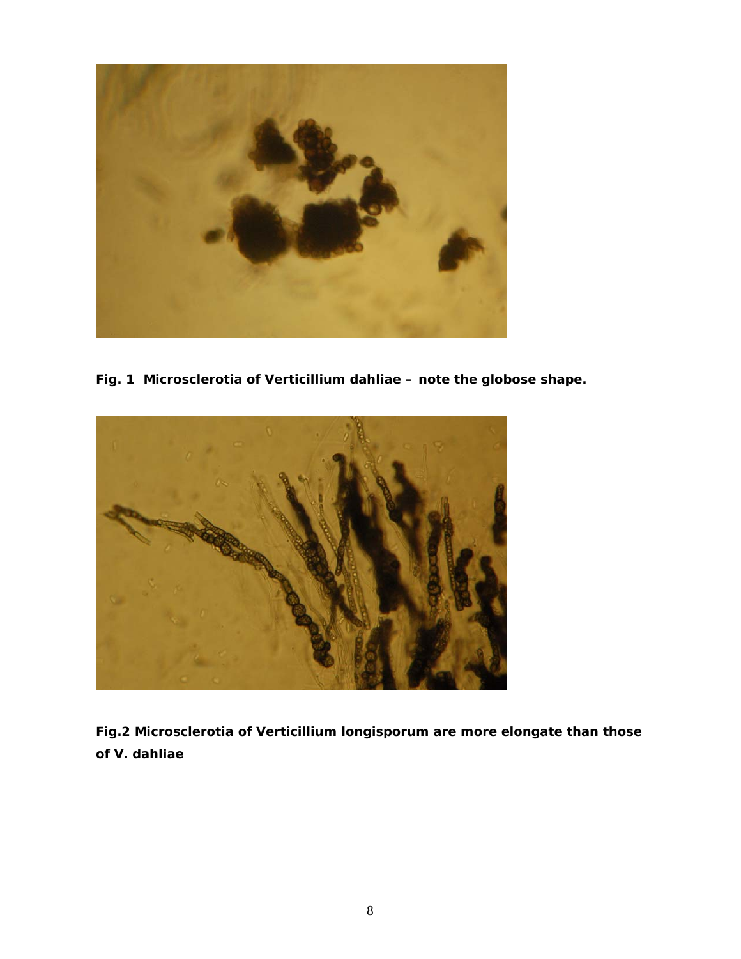

**Fig. 1 Microsclerotia of** *Verticillium dahliae* **– note the globose shape.** 



**Fig.2 Microsclerotia of** *Verticillium longisporum* **are more elongate than those of** *V. dahliae*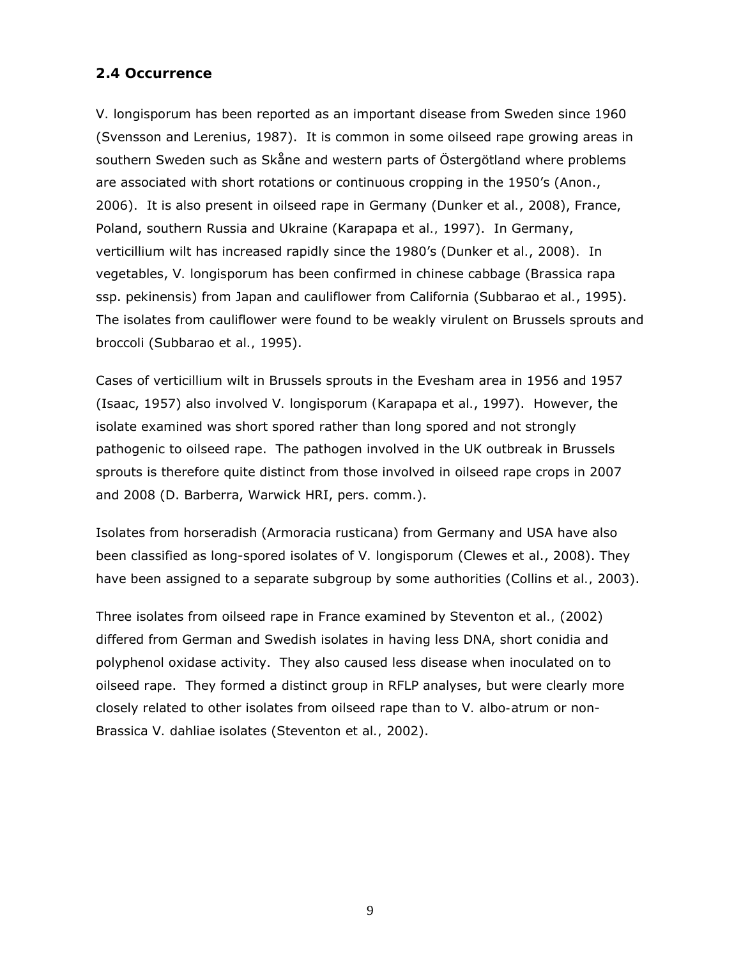### **2.4 Occurrence**

*V. longisporum* has been reported as an important disease from Sweden since 1960 (Svensson and Lerenius, 1987). It is common in some oilseed rape growing areas in southern Sweden such as Skåne and western parts of Östergötland where problems are associated with short rotations or continuous cropping in the 1950's (Anon., 2006). It is also present in oilseed rape in Germany (Dunker *et al.*, 2008), France, Poland, southern Russia and Ukraine (Karapapa *et al.,* 1997). In Germany, verticillium wilt has increased rapidly since the 1980's (Dunker *et al.*, 2008). In vegetables, *V. longisporum* has been confirmed in chinese cabbage (*Brassica rapa* ssp. *pekinensis*) from Japan and cauliflower from California (Subbarao *et al.*, 1995). The isolates from cauliflower were found to be weakly virulent on Brussels sprouts and broccoli (Subbarao *et al.,* 1995).

Cases of verticillium wilt in Brussels sprouts in the Evesham area in 1956 and 1957 (Isaac, 1957) also involved *V. longisporum (Karapapa et al.*, 1997). However, the isolate examined was short spored rather than long spored and not strongly pathogenic to oilseed rape. The pathogen involved in the UK outbreak in Brussels sprouts is therefore quite distinct from those involved in oilseed rape crops in 2007 and 2008 (D. Barberra, Warwick HRI, pers. comm.).

Isolates from horseradish (*Armoracia rusticana*) from Germany and USA have also been classified as long-spored isolates of *V. longisporum* (Clewes *et al*., 2008). They have been assigned to a separate subgroup by some authorities (Collins *et al.,* 2003).

Three isolates from oilseed rape in France examined by Steventon *et al.,* (2002) differed from German and Swedish isolates in having less DNA, short conidia and polyphenol oxidase activity. They also caused less disease when inoculated on to oilseed rape. They formed a distinct group in RFLP analyses, but were clearly more closely related to other isolates from oilseed rape than to *V. albo-atrum* or non-Brassica *V. dahliae* isolates (Steventon *et al.,* 2002).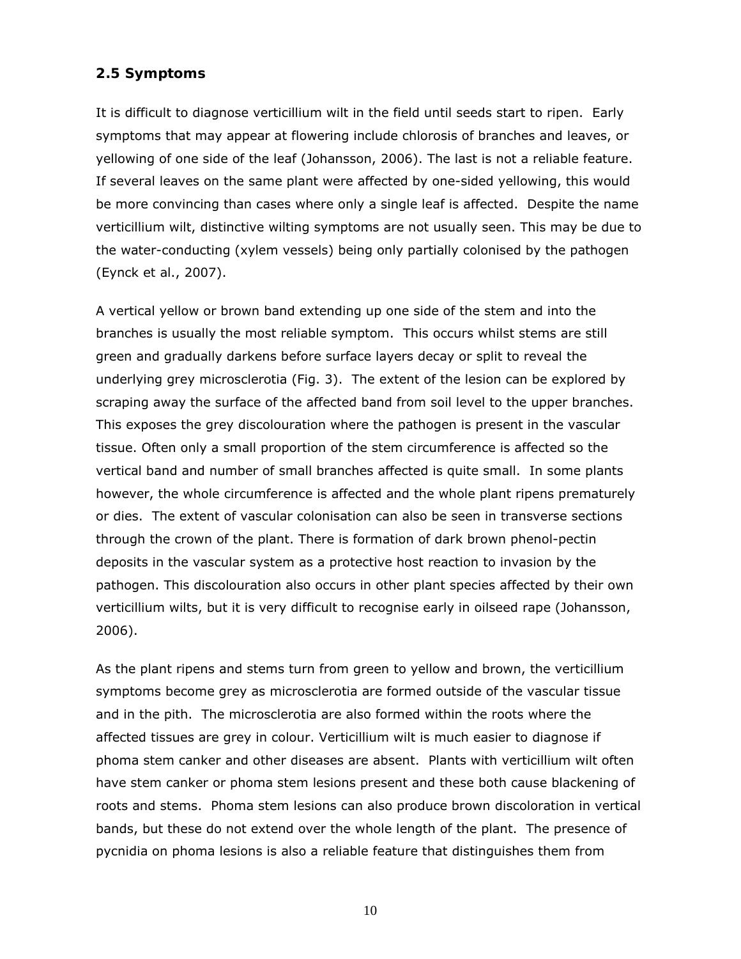### **2.5 Symptoms**

It is difficult to diagnose verticillium wilt in the field until seeds start to ripen. Early symptoms that may appear at flowering include chlorosis of branches and leaves, or yellowing of one side of the leaf (Johansson, 2006). The last is not a reliable feature. If several leaves on the same plant were affected by one-sided yellowing, this would be more convincing than cases where only a single leaf is affected. Despite the name verticillium wilt, distinctive wilting symptoms are not usually seen. This may be due to the water-conducting (xylem vessels) being only partially colonised by the pathogen (Eynck *et al*., 2007).

A vertical yellow or brown band extending up one side of the stem and into the branches is usually the most reliable symptom. This occurs whilst stems are still green and gradually darkens before surface layers decay or split to reveal the underlying grey microsclerotia (Fig. 3). The extent of the lesion can be explored by scraping away the surface of the affected band from soil level to the upper branches. This exposes the grey discolouration where the pathogen is present in the vascular tissue. Often only a small proportion of the stem circumference is affected so the vertical band and number of small branches affected is quite small. In some plants however, the whole circumference is affected and the whole plant ripens prematurely or dies. The extent of vascular colonisation can also be seen in transverse sections through the crown of the plant. There is formation of dark brown phenol-pectin deposits in the vascular system as a protective host reaction to invasion by the pathogen. This discolouration also occurs in other plant species affected by their own verticillium wilts, but it is very difficult to recognise early in oilseed rape (Johansson, 2006).

As the plant ripens and stems turn from green to yellow and brown, the verticillium symptoms become grey as microsclerotia are formed outside of the vascular tissue and in the pith. The microsclerotia are also formed within the roots where the affected tissues are grey in colour. Verticillium wilt is much easier to diagnose if phoma stem canker and other diseases are absent. Plants with verticillium wilt often have stem canker or phoma stem lesions present and these both cause blackening of roots and stems. Phoma stem lesions can also produce brown discoloration in vertical bands, but these do not extend over the whole length of the plant. The presence of pycnidia on phoma lesions is also a reliable feature that distinguishes them from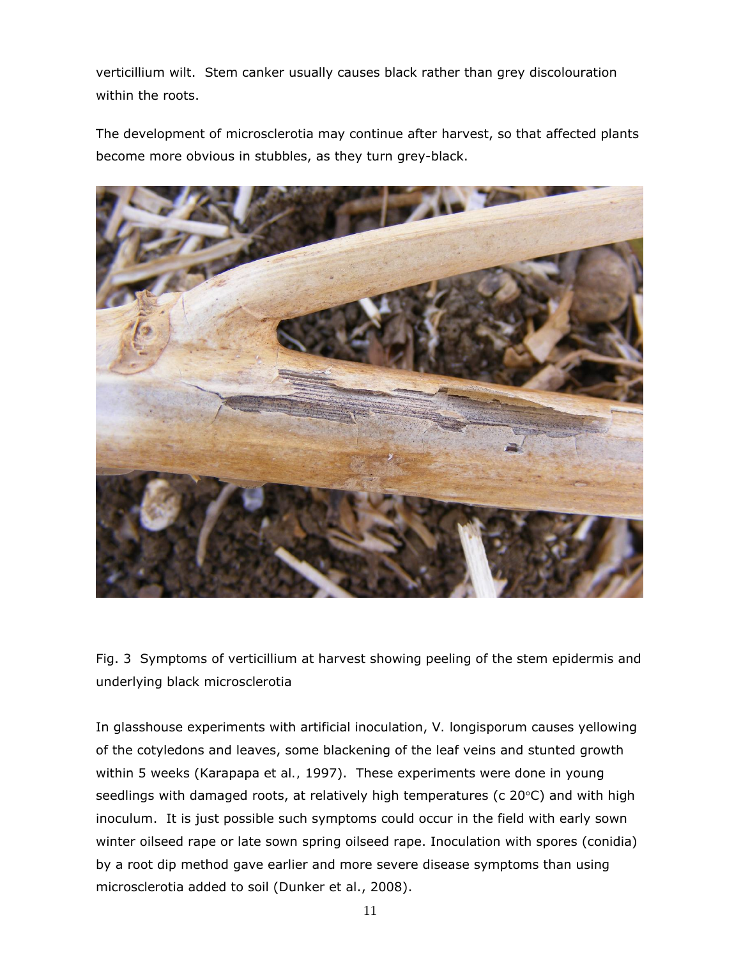verticillium wilt. Stem canker usually causes black rather than grey discolouration within the roots.

The development of microsclerotia may continue after harvest, so that affected plants become more obvious in stubbles, as they turn grey-black.



Fig. 3 Symptoms of verticillium at harvest showing peeling of the stem epidermis and underlying black microsclerotia

In glasshouse experiments with artificial inoculation, *V. longisporum* causes yellowing of the cotyledons and leaves, some blackening of the leaf veins and stunted growth within 5 weeks (Karapapa *et al.,* 1997). These experiments were done in young seedlings with damaged roots, at relatively high temperatures (c  $20^{\circ}$ C) and with high inoculum. It is just possible such symptoms could occur in the field with early sown winter oilseed rape or late sown spring oilseed rape. Inoculation with spores (conidia) by a root dip method gave earlier and more severe disease symptoms than using microsclerotia added to soil (Dunker *et al*., 2008).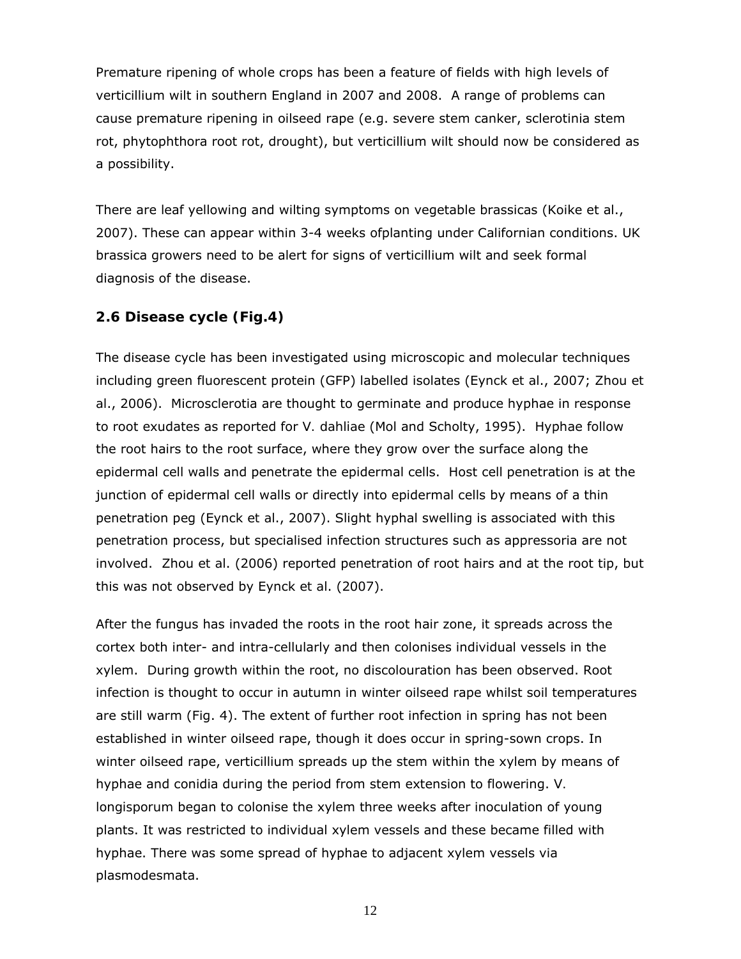Premature ripening of whole crops has been a feature of fields with high levels of verticillium wilt in southern England in 2007 and 2008. A range of problems can cause premature ripening in oilseed rape (e.g. severe stem canker, sclerotinia stem rot, phytophthora root rot, drought), but verticillium wilt should now be considered as a possibility.

There are leaf yellowing and wilting symptoms on vegetable brassicas (Koike et al., 2007). These can appear within 3-4 weeks ofplanting under Californian conditions. UK brassica growers need to be alert for signs of verticillium wilt and seek formal diagnosis of the disease.

### **2.6 Disease cycle (Fig.4)**

The disease cycle has been investigated using microscopic and molecular techniques including green fluorescent protein (GFP) labelled isolates (Eynck *et al*., 2007; Zhou *et al*., 2006). Microsclerotia are thought to germinate and produce hyphae in response to root exudates as reported for *V. dahliae* (Mol and Scholty, 1995). Hyphae follow the root hairs to the root surface, where they grow over the surface along the epidermal cell walls and penetrate the epidermal cells. Host cell penetration is at the junction of epidermal cell walls or directly into epidermal cells by means of a thin penetration peg (Eynck *et al*., 2007). Slight hyphal swelling is associated with this penetration process, but specialised infection structures such as appressoria are not involved. Zhou *et al*. (2006) reported penetration of root hairs and at the root tip, but this was not observed by Eynck *et al*. (2007).

After the fungus has invaded the roots in the root hair zone, it spreads across the cortex both inter- and intra-cellularly and then colonises individual vessels in the xylem. During growth within the root, no discolouration has been observed. Root infection is thought to occur in autumn in winter oilseed rape whilst soil temperatures are still warm (Fig. 4). The extent of further root infection in spring has not been established in winter oilseed rape, though it does occur in spring-sown crops. In winter oilseed rape, verticillium spreads up the stem within the xylem by means of hyphae and conidia during the period from stem extension to flowering. *V. longisporum* began to colonise the xylem three weeks after inoculation of young plants. It was restricted to individual xylem vessels and these became filled with hyphae. There was some spread of hyphae to adjacent xylem vessels via plasmodesmata.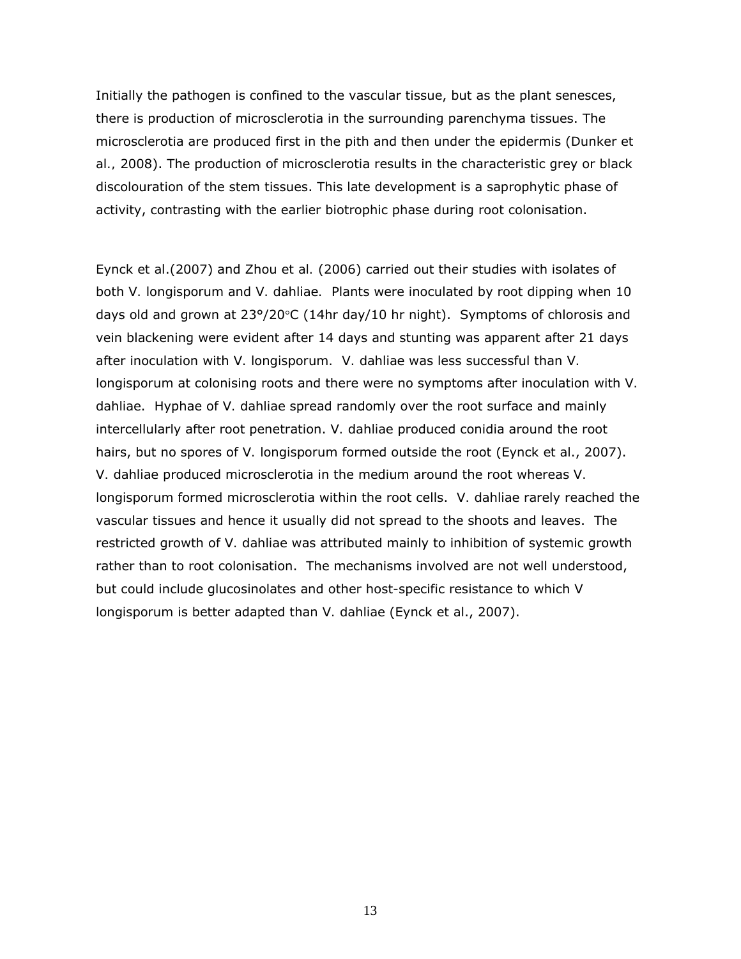Initially the pathogen is confined to the vascular tissue, but as the plant senesces, there is production of microsclerotia in the surrounding parenchyma tissues. The microsclerotia are produced first in the pith and then under the epidermis (Dunker *et al.,* 2008). The production of microsclerotia results in the characteristic grey or black discolouration of the stem tissues. This late development is a saprophytic phase of activity, contrasting with the earlier biotrophic phase during root colonisation.

Eynck *et al*.(2007) and Zhou *et al.* (2006) carried out their studies with isolates of both *V. longisporum* and *V. dahliae.* Plants were inoculated by root dipping when 10 days old and grown at 23°/20°C (14hr day/10 hr night). Symptoms of chlorosis and vein blackening were evident after 14 days and stunting was apparent after 21 days after inoculation with *V. longisporum. V. dahliae* was less successful than *V. longisporum* at colonising roots and there were no symptoms after inoculation with *V. dahliae*. Hyphae of *V. dahliae* spread randomly over the root surface and mainly intercellularly after root penetration. *V. dahliae* produced conidia around the root hairs, but no spores of *V. longisporum* formed outside the root (Eynck *et al*., 2007). *V. dahliae* produced microsclerotia in the medium around the root whereas *V. longisporum* formed microsclerotia within the root cells. *V. dahliae* rarely reached the vascular tissues and hence it usually did not spread to the shoots and leaves. The restricted growth of *V. dahliae* was attributed mainly to inhibition of systemic growth rather than to root colonisation. The mechanisms involved are not well understood, but could include glucosinolates and other host-specific resistance to which *V longisporum* is better adapted than *V. dahliae* (Eynck *et al*., 2007).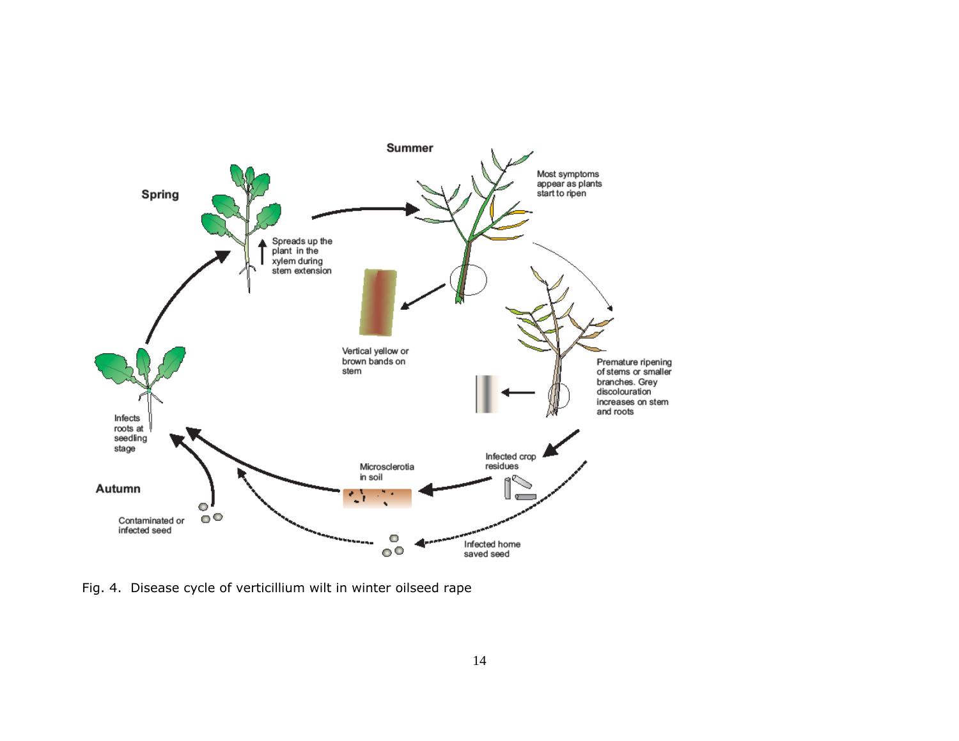

Fig. 4. Disease cycle of verticillium wilt in winter oilseed rape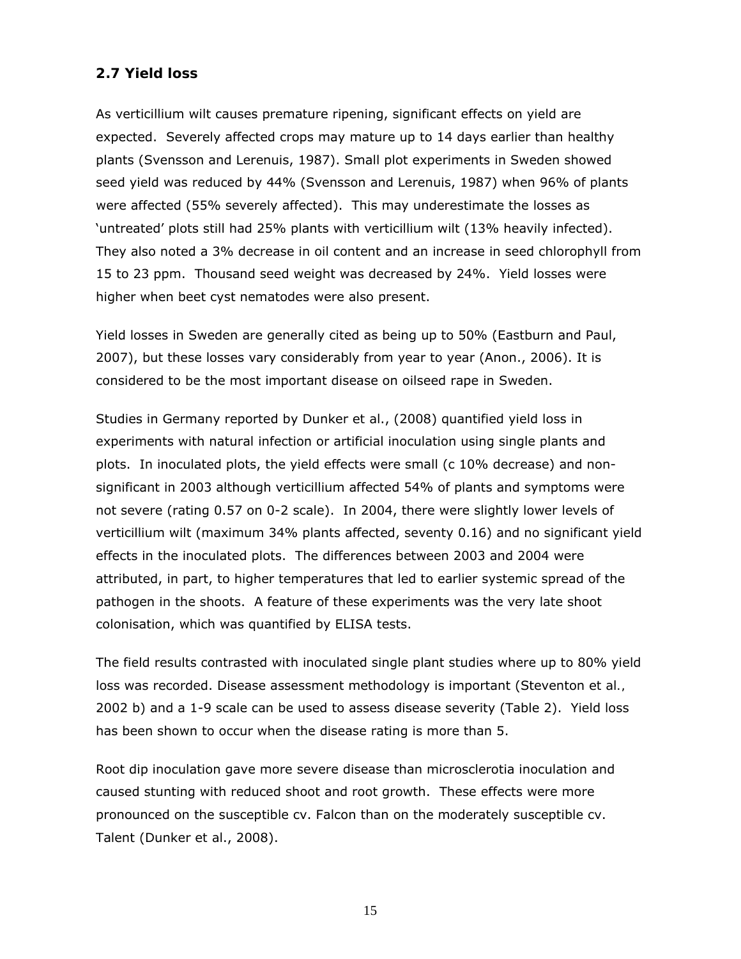### **2.7 Yield loss**

As verticillium wilt causes premature ripening, significant effects on yield are expected. Severely affected crops may mature up to 14 days earlier than healthy plants (Svensson and Lerenuis, 1987). Small plot experiments in Sweden showed seed yield was reduced by 44% (Svensson and Lerenuis, 1987) when 96% of plants were affected (55% severely affected). This may underestimate the losses as 'untreated' plots still had 25% plants with verticillium wilt (13% heavily infected). They also noted a 3% decrease in oil content and an increase in seed chlorophyll from 15 to 23 ppm. Thousand seed weight was decreased by 24%. Yield losses were higher when beet cyst nematodes were also present.

Yield losses in Sweden are generally cited as being up to 50% (Eastburn and Paul, 2007), but these losses vary considerably from year to year (Anon., 2006). It is considered to be the most important disease on oilseed rape in Sweden.

Studies in Germany reported by Dunker *et al*., (2008) quantified yield loss in experiments with natural infection or artificial inoculation using single plants and plots. In inoculated plots, the yield effects were small (c 10% decrease) and nonsignificant in 2003 although verticillium affected 54% of plants and symptoms were not severe (rating 0.57 on 0-2 scale). In 2004, there were slightly lower levels of verticillium wilt (maximum 34% plants affected, seventy 0.16) and no significant yield effects in the inoculated plots. The differences between 2003 and 2004 were attributed, in part, to higher temperatures that led to earlier systemic spread of the pathogen in the shoots. A feature of these experiments was the very late shoot colonisation, which was quantified by ELISA tests.

The field results contrasted with inoculated single plant studies where up to 80% yield loss was recorded. Disease assessment methodology is important (Steventon *et al.,* 2002 b) and a 1-9 scale can be used to assess disease severity (Table 2). Yield loss has been shown to occur when the disease rating is more than 5.

Root dip inoculation gave more severe disease than microsclerotia inoculation and caused stunting with reduced shoot and root growth. These effects were more pronounced on the susceptible cv. Falcon than on the moderately susceptible cv. Talent (Dunker *et al*., 2008).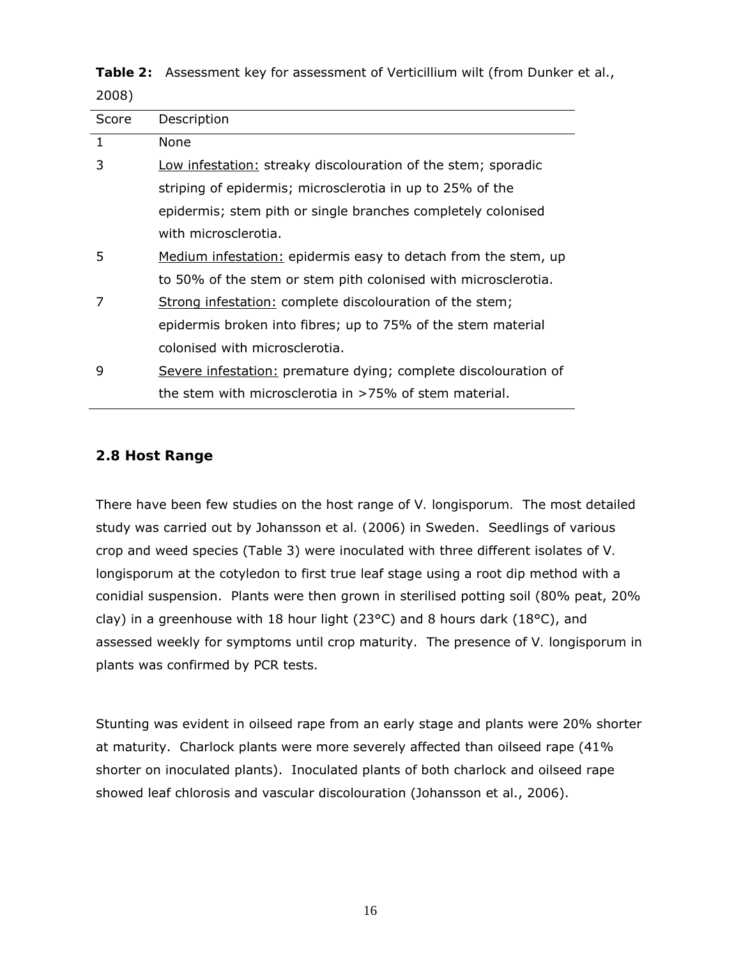**Table 2:** Assessment key for assessment of Verticillium wilt (from Dunker *et al*., 2008)

| Score        | Description                                                     |
|--------------|-----------------------------------------------------------------|
| $\mathbf{1}$ | None                                                            |
| 3            | Low infestation: streaky discolouration of the stem; sporadic   |
|              | striping of epidermis; microsclerotia in up to 25% of the       |
|              | epidermis; stem pith or single branches completely colonised    |
|              | with microsclerotia.                                            |
| 5            | Medium infestation: epidermis easy to detach from the stem, up  |
|              | to 50% of the stem or stem pith colonised with microsclerotia.  |
| 7            | Strong infestation: complete discolouration of the stem;        |
|              | epidermis broken into fibres; up to 75% of the stem material    |
|              | colonised with microsclerotia.                                  |
| 9            | Severe infestation: premature dying; complete discolouration of |
|              | the stem with microsclerotia in $>75\%$ of stem material.       |

### **2.8 Host Range**

There have been few studies on the host range of *V. longisporum.* The most detailed study was carried out by Johansson *et al. (*2006) in Sweden. Seedlings of various crop and weed species (Table 3) were inoculated with three different isolates of *V. longisporum* at the cotyledon to first true leaf stage using a root dip method with a conidial suspension. Plants were then grown in sterilised potting soil (80% peat, 20% clay) in a greenhouse with 18 hour light (23°C) and 8 hours dark (18°C), and assessed weekly for symptoms until crop maturity. The presence of *V. longisporum* in plants was confirmed by PCR tests.

Stunting was evident in oilseed rape from an early stage and plants were 20% shorter at maturity. Charlock plants were more severely affected than oilseed rape (41% shorter on inoculated plants). Inoculated plants of both charlock and oilseed rape showed leaf chlorosis and vascular discolouration (Johansson *et al*., 2006).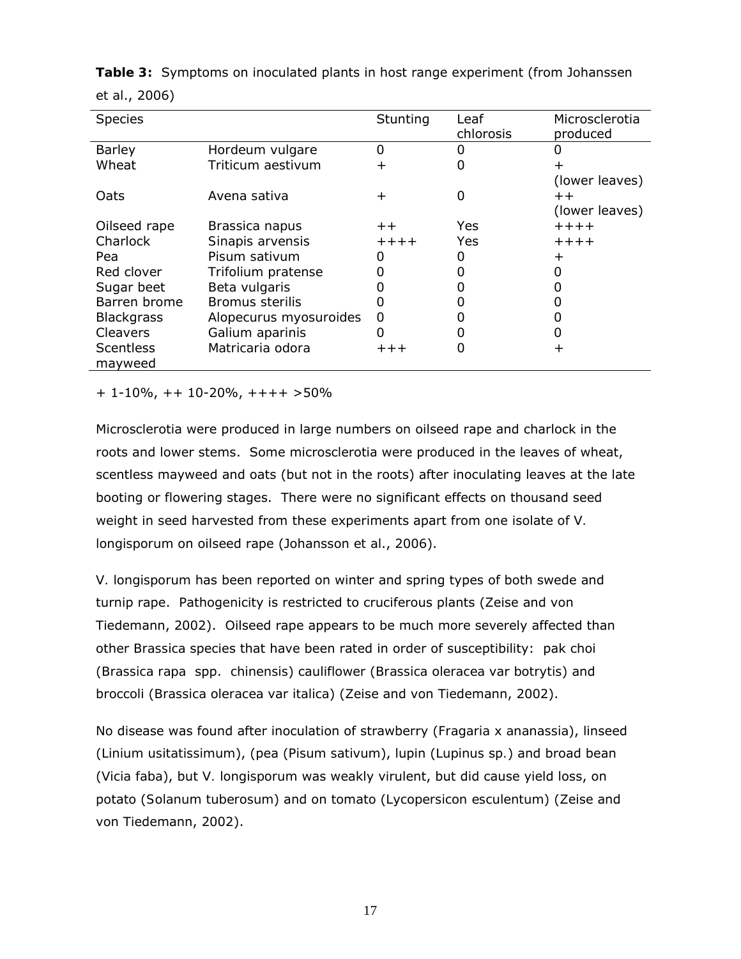| <b>Species</b>    |                        | Stunting        | Leaf<br>chlorosis | Microsclerotia<br>produced |
|-------------------|------------------------|-----------------|-------------------|----------------------------|
| <b>Barley</b>     | Hordeum vulgare        | 0               |                   |                            |
| Wheat             | Triticum aestivum      | $\mathrm{+}$    |                   |                            |
|                   |                        |                 |                   | (lower leaves)             |
| Oats              | Avena sativa           | $\mathrm{+}$    | O                 | $+ +$                      |
|                   |                        |                 |                   | (lower leaves)             |
| Oilseed rape      | Brassica napus         | $^{\mathrm{+}}$ | Yes               | $+ + + +$                  |
| Charlock          | Sinapis arvensis       | $+ + + +$       | Yes               | $+ + + +$                  |
| Pea               | Pisum sativum          |                 |                   | ┿                          |
| Red clover        | Trifolium pratense     |                 |                   |                            |
| Sugar beet        | Beta vulgaris          |                 |                   |                            |
| Barren brome      | <b>Bromus sterilis</b> |                 |                   |                            |
| <b>Blackgrass</b> | Alopecurus myosuroides | O               |                   |                            |
| Cleavers          | Galium aparinis        | 0               |                   |                            |
| <b>Scentless</b>  | Matricaria odora       | $++++$          |                   | ┿                          |
| mayweed           |                        |                 |                   |                            |

**Table 3:** Symptoms on inoculated plants in host range experiment (from Johanssen *et al*., 2006)

+ 1-10%, ++ 10-20%, ++++ >50%

Microsclerotia were produced in large numbers on oilseed rape and charlock in the roots and lower stems. Some microsclerotia were produced in the leaves of wheat, scentless mayweed and oats (but not in the roots) after inoculating leaves at the late booting or flowering stages. There were no significant effects on thousand seed weight in seed harvested from these experiments apart from one isolate of *V. longisporum* on oilseed rape (Johansson *et al*., 2006).

*V. longisporum* has been reported on winter and spring types of both swede and turnip rape. Pathogenicity is restricted to cruciferous plants (Zeise and von Tiedemann, 2002). Oilseed rape appears to be much more severely affected than other *Brassica* species that have been rated in order of susceptibility: pak choi (*Brassica rapa* spp. *chinensis*) cauliflower (*Brassica oleracea* var *botrytis*) and broccoli (*Brassica oleracea* var *italica*) (Zeise and von Tiedemann, 2002).

No disease was found after inoculation of strawberry (*Fragaria x ananassia*), linseed (*Linium usitatissimum*), (pea (*Pisum sativum*), lupin (*Lupinus* sp*.*) and broad bean (*Vicia faba*), but *V. longisporum* was weakly virulent, but did cause yield loss, on potato (*Solanum tuberosum*) and on tomato (*Lycopersicon esculentum*) (Zeise and von Tiedemann, 2002).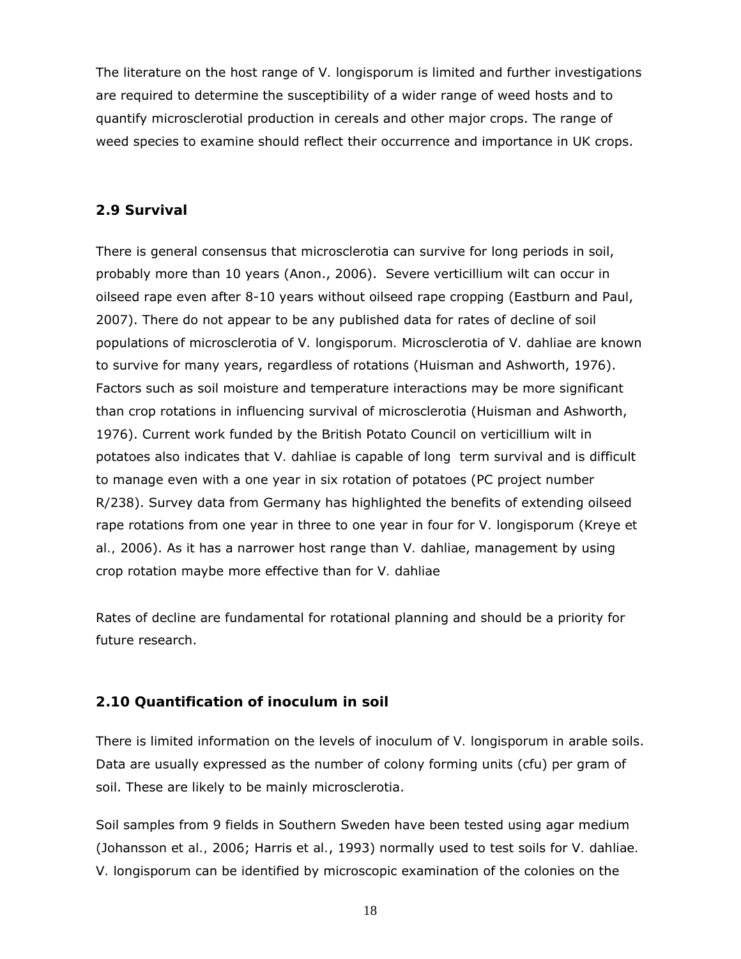The literature on the host range of *V. longisporum* is limited and further investigations are required to determine the susceptibility of a wider range of weed hosts and to quantify microsclerotial production in cereals and other major crops. The range of weed species to examine should reflect their occurrence and importance in UK crops.

#### **2.9 Survival**

There is general consensus that microsclerotia can survive for long periods in soil, probably more than 10 years (Anon., 2006). Severe verticillium wilt can occur in oilseed rape even after 8-10 years without oilseed rape cropping (Eastburn and Paul, 2007). There do not appear to be any published data for rates of decline of soil populations of microsclerotia of *V. longisporum.* Microsclerotia of *V. dahliae* are known to survive for many years, regardless of rotations (Huisman and Ashworth, 1976). Factors such as soil moisture and temperature interactions may be more significant than crop rotations in influencing survival of microsclerotia (Huisman and Ashworth, 1976). Current work funded by the British Potato Council on verticillium wilt in potatoes also indicates that *V. dahliae* is capable of long term survival and is difficult to manage even with a one year in six rotation of potatoes (PC project number R/238). Survey data from Germany has highlighted the benefits of extending oilseed rape rotations from one year in three to one year in four for *V. longisporum* (Kreye *et al.,* 2006). As it has a narrower host range than *V. dahliae*, management by using crop rotation maybe more effective than for *V. dahliae* 

Rates of decline are fundamental for rotational planning and should be a priority for future research.

### **2.10 Quantification of inoculum in soil**

There is limited information on the levels of inoculum of *V. longisporum* in arable soils. Data are usually expressed as the number of colony forming units (cfu) per gram of soil. These are likely to be mainly microsclerotia.

Soil samples from 9 fields in Southern Sweden have been tested using agar medium (Johansson *et al.,* 2006; Harris *et al.*, 1993) normally used to test soils for *V. dahliae. V. longisporum* can be identified by microscopic examination of the colonies on the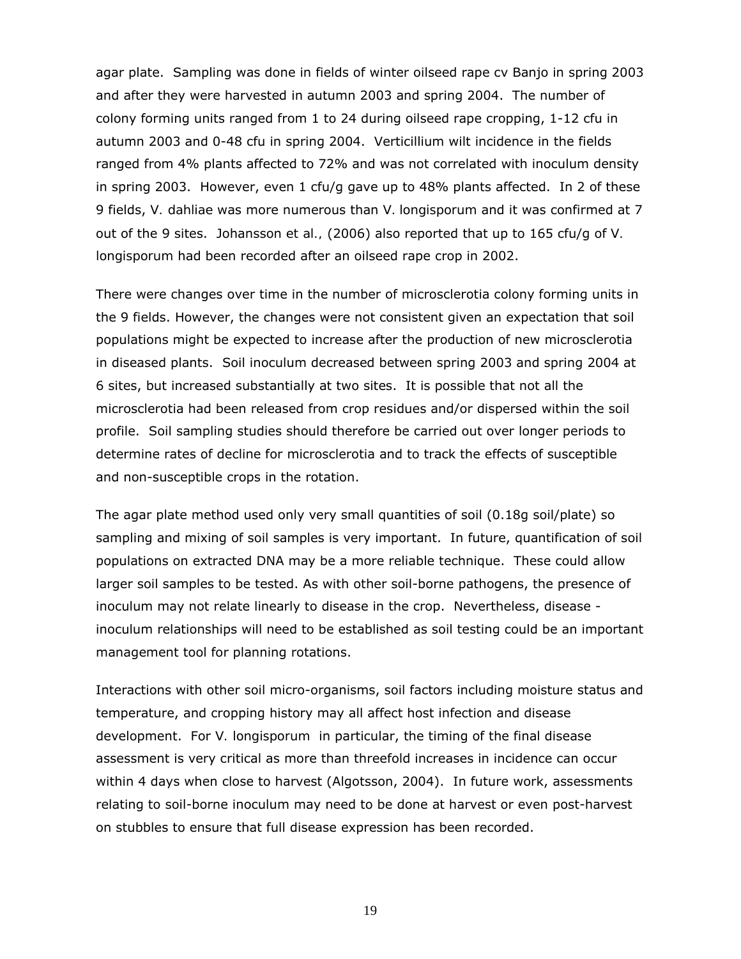agar plate. Sampling was done in fields of winter oilseed rape cv Banjo in spring 2003 and after they were harvested in autumn 2003 and spring 2004. The number of colony forming units ranged from 1 to 24 during oilseed rape cropping, 1-12 cfu in autumn 2003 and 0-48 cfu in spring 2004. Verticillium wilt incidence in the fields ranged from 4% plants affected to 72% and was not correlated with inoculum density in spring 2003. However, even  $1 \text{ cfu/q}$  gave up to 48% plants affected. In 2 of these 9 fields, *V. dahliae* was more numerous than *V. longisporum* and it was confirmed at 7 out of the 9 sites. Johansson *et al.,* (2006) also reported that up to 165 cfu/g of *V. longisporum* had been recorded after an oilseed rape crop in 2002.

There were changes over time in the number of microsclerotia colony forming units in the 9 fields. However, the changes were not consistent given an expectation that soil populations might be expected to increase after the production of new microsclerotia in diseased plants. Soil inoculum decreased between spring 2003 and spring 2004 at 6 sites, but increased substantially at two sites. It is possible that not all the microsclerotia had been released from crop residues and/or dispersed within the soil profile. Soil sampling studies should therefore be carried out over longer periods to determine rates of decline for microsclerotia and to track the effects of susceptible and non-susceptible crops in the rotation.

The agar plate method used only very small quantities of soil (0.18g soil/plate) so sampling and mixing of soil samples is very important. In future, quantification of soil populations on extracted DNA may be a more reliable technique. These could allow larger soil samples to be tested. As with other soil-borne pathogens, the presence of inoculum may not relate linearly to disease in the crop. Nevertheless, disease inoculum relationships will need to be established as soil testing could be an important management tool for planning rotations.

Interactions with other soil micro-organisms, soil factors including moisture status and temperature, and cropping history may all affect host infection and disease development. For *V. longisporum* in particular, the timing of the final disease assessment is very critical as more than threefold increases in incidence can occur within 4 days when close to harvest (Algotsson, 2004). In future work, assessments relating to soil-borne inoculum may need to be done at harvest or even post-harvest on stubbles to ensure that full disease expression has been recorded.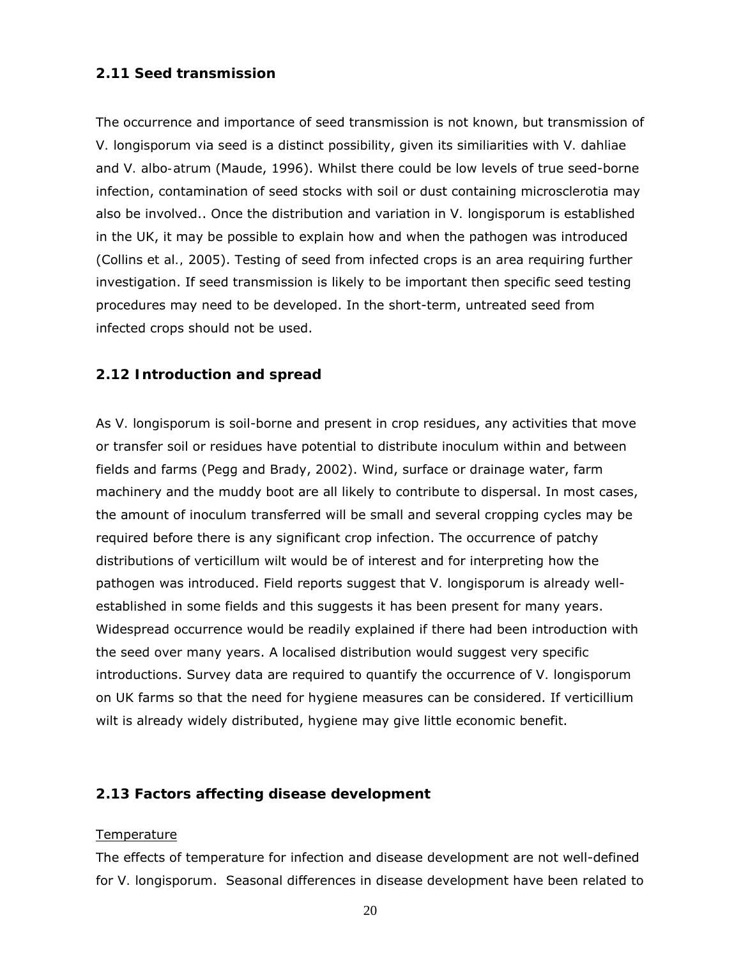### **2.11 Seed transmission**

The occurrence and importance of seed transmission is not known, but transmission of *V. longisporum* via seed is a distinct possibility, given its similiarities with *V. dahliae* and *V. albo-atrum* (Maude, 1996). Whilst there could be low levels of true seed-borne infection, contamination of seed stocks with soil or dust containing microsclerotia may also be involved.. Once the distribution and variation in *V. longisporum* is established in the UK, it may be possible to explain how and when the pathogen was introduced (Collins *et al.,* 2005). Testing of seed from infected crops is an area requiring further investigation. If seed transmission is likely to be important then specific seed testing procedures may need to be developed. In the short-term, untreated seed from infected crops should not be used.

### **2.12 Introduction and spread**

As *V. longisporum* is soil-borne and present in crop residues, any activities that move or transfer soil or residues have potential to distribute inoculum within and between fields and farms (Pegg and Brady, 2002). Wind, surface or drainage water, farm machinery and the muddy boot are all likely to contribute to dispersal. In most cases, the amount of inoculum transferred will be small and several cropping cycles may be required before there is any significant crop infection. The occurrence of patchy distributions of verticillum wilt would be of interest and for interpreting how the pathogen was introduced. Field reports suggest that *V. longisporum* is already wellestablished in some fields and this suggests it has been present for many years. Widespread occurrence would be readily explained if there had been introduction with the seed over many years. A localised distribution would suggest very specific introductions. Survey data are required to quantify the occurrence of *V. longisporum* on UK farms so that the need for hygiene measures can be considered. If verticillium wilt is already widely distributed, hygiene may give little economic benefit.

### **2.13 Factors affecting disease development**

#### **Temperature**

The effects of temperature for infection and disease development are not well-defined for *V. longisporum*. Seasonal differences in disease development have been related to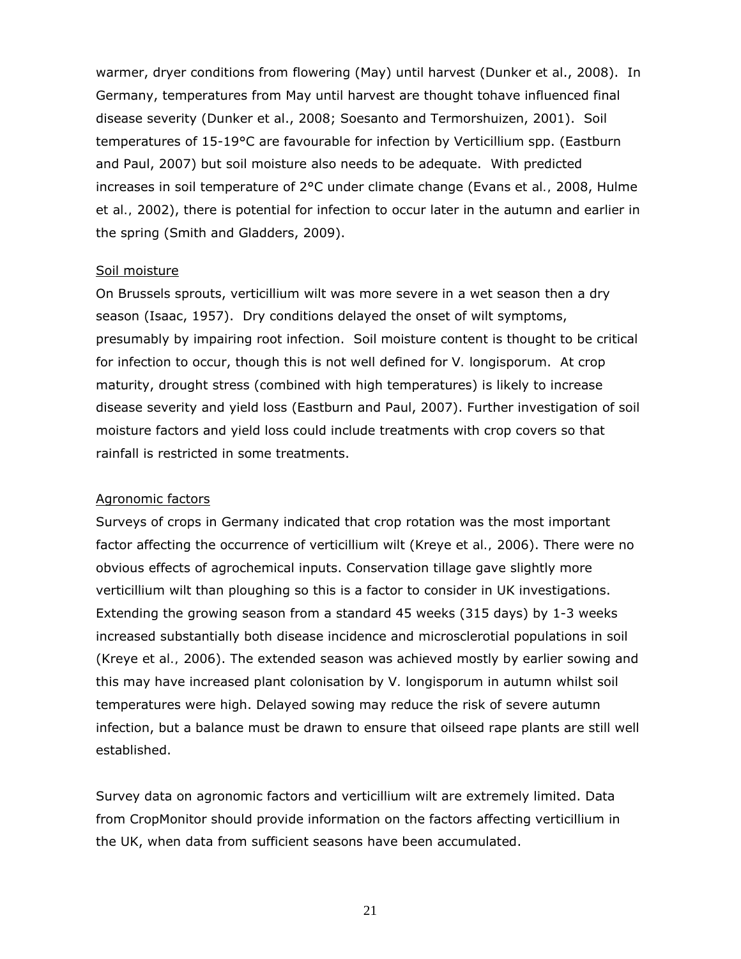warmer, dryer conditions from flowering (May) until harvest (Dunker *et al*., 2008). In Germany, temperatures from May until harvest are thought tohave influenced final disease severity (Dunker *et al*., 2008; Soesanto and Termorshuizen, 2001). Soil temperatures of 15-19°C are favourable for infection by *Verticillium* spp. (Eastburn and Paul, 2007) but soil moisture also needs to be adequate. With predicted increases in soil temperature of 2°C under climate change (Evans *et al.,* 2008, Hulme *et al.,* 2002), there is potential for infection to occur later in the autumn and earlier in the spring (Smith and Gladders, 2009).

#### Soil moisture

On Brussels sprouts, verticillium wilt was more severe in a wet season then a dry season (Isaac, 1957). Dry conditions delayed the onset of wilt symptoms, presumably by impairing root infection. Soil moisture content is thought to be critical for infection to occur, though this is not well defined for *V. longisporum*. At crop maturity, drought stress (combined with high temperatures) is likely to increase disease severity and yield loss (Eastburn and Paul, 2007). Further investigation of soil moisture factors and yield loss could include treatments with crop covers so that rainfall is restricted in some treatments.

#### Agronomic factors

Surveys of crops in Germany indicated that crop rotation was the most important factor affecting the occurrence of verticillium wilt (Kreye *et al.,* 2006). There were no obvious effects of agrochemical inputs. Conservation tillage gave slightly more verticillium wilt than ploughing so this is a factor to consider in UK investigations. Extending the growing season from a standard 45 weeks (315 days) by 1-3 weeks increased substantially both disease incidence and microsclerotial populations in soil (Kreye *et al.,* 2006). The extended season was achieved mostly by earlier sowing and this may have increased plant colonisation by *V. longisporum* in autumn whilst soil temperatures were high. Delayed sowing may reduce the risk of severe autumn infection, but a balance must be drawn to ensure that oilseed rape plants are still well established.

Survey data on agronomic factors and verticillium wilt are extremely limited. Data from CropMonitor should provide information on the factors affecting verticillium in the UK, when data from sufficient seasons have been accumulated.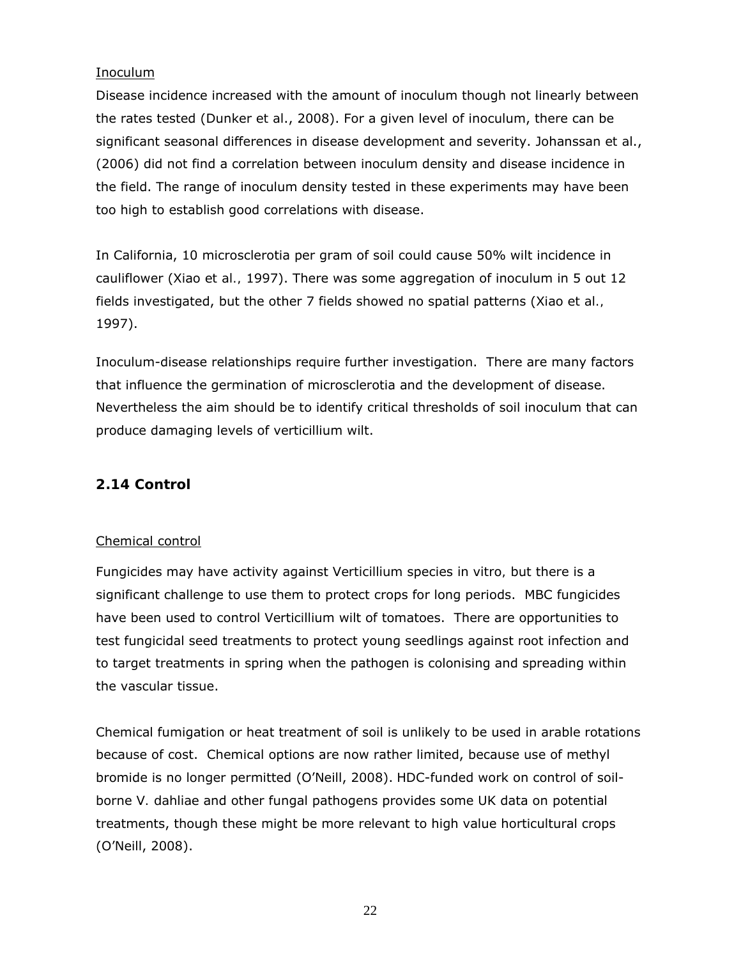### Inoculum

Disease incidence increased with the amount of inoculum though not linearly between the rates tested (Dunker *et al*., 2008). For a given level of inoculum, there can be significant seasonal differences in disease development and severity. Johanssan *et al*., (2006) did not find a correlation between inoculum density and disease incidence in the field. The range of inoculum density tested in these experiments may have been too high to establish good correlations with disease.

In California, 10 microsclerotia per gram of soil could cause 50% wilt incidence in cauliflower (Xiao *et al.,* 1997). There was some aggregation of inoculum in 5 out 12 fields investigated, but the other 7 fields showed no spatial patterns (Xiao *et al.,* 1997).

Inoculum-disease relationships require further investigation. There are many factors that influence the germination of microsclerotia and the development of disease. Nevertheless the aim should be to identify critical thresholds of soil inoculum that can produce damaging levels of verticillium wilt.

### **2.14 Control**

### Chemical control

Fungicides may have activity against *Verticillium* species *in vitro,* but there is a significant challenge to use them to protect crops for long periods. MBC fungicides have been used to control Verticillium wilt of tomatoes. There are opportunities to test fungicidal seed treatments to protect young seedlings against root infection and to target treatments in spring when the pathogen is colonising and spreading within the vascular tissue.

Chemical fumigation or heat treatment of soil is unlikely to be used in arable rotations because of cost. Chemical options are now rather limited, because use of methyl bromide is no longer permitted (O'Neill, 2008). HDC-funded work on control of soilborne *V. dahliae* and other fungal pathogens provides some UK data on potential treatments, though these might be more relevant to high value horticultural crops (O'Neill, 2008).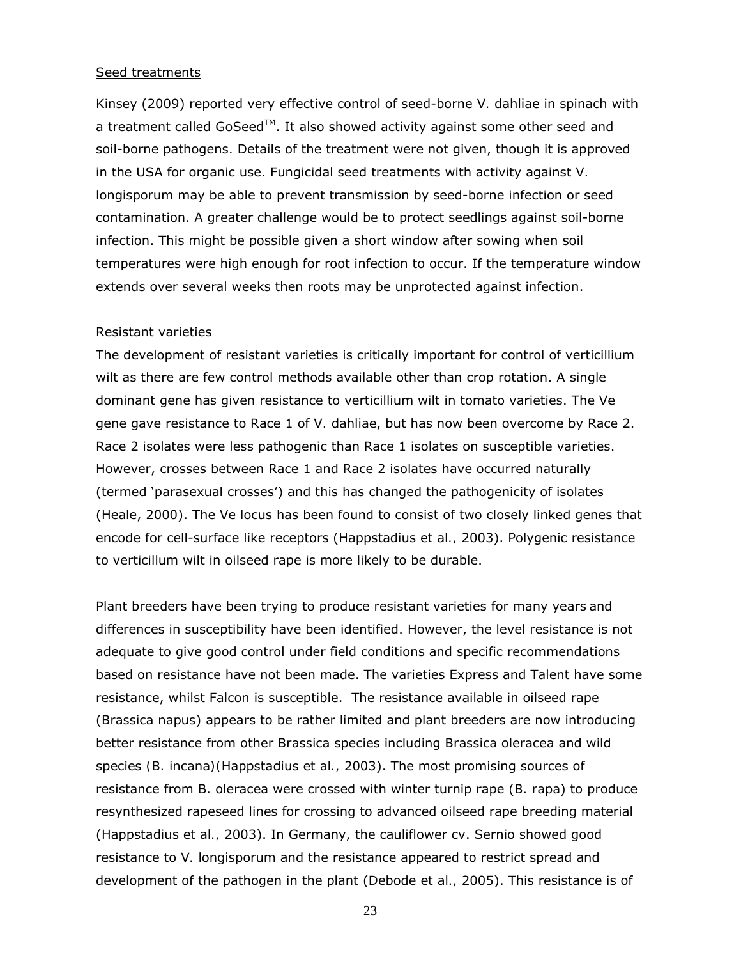#### Seed treatments

Kinsey (2009) reported very effective control of seed-borne *V. dahliae* in spinach with a treatment called GoSeed<sup>TM</sup>. It also showed activity against some other seed and soil-borne pathogens. Details of the treatment were not given, though it is approved in the USA for organic use. Fungicidal seed treatments with activity against *V. longisporum* may be able to prevent transmission by seed-borne infection or seed contamination. A greater challenge would be to protect seedlings against soil-borne infection. This might be possible given a short window after sowing when soil temperatures were high enough for root infection to occur. If the temperature window extends over several weeks then roots may be unprotected against infection.

#### Resistant varieties

The development of resistant varieties is critically important for control of verticillium wilt as there are few control methods available other than crop rotation. A single dominant gene has given resistance to verticillium wilt in tomato varieties. The *Ve* gene gave resistance to Race 1 of *V. dahliae*, but has now been overcome by Race 2. Race 2 isolates were less pathogenic than Race 1 isolates on susceptible varieties. However, crosses between Race 1 and Race 2 isolates have occurred naturally (termed 'parasexual crosses') and this has changed the pathogenicity of isolates (Heale, 2000). The Ve locus has been found to consist of two closely linked genes that encode for cell-surface like receptors (Happstadius *et al.,* 2003). Polygenic resistance to verticillum wilt in oilseed rape is more likely to be durable.

Plant breeders have been trying to produce resistant varieties for many years and differences in susceptibility have been identified. However, the level resistance is not adequate to give good control under field conditions and specific recommendations based on resistance have not been made. The varieties Express and Talent have some resistance, whilst Falcon is susceptible. The resistance available in oilseed rape (*Brassica napus*) appears to be rather limited and plant breeders are now introducing better resistance from other *Brassica* species including *Brassica oleracea* and wild species *(B. incana)(*Happstadius *et al.,* 2003). The most promising sources of resistance from B. oleracea were crossed with winter turnip rape (*B. rapa*) to produce resynthesized rapeseed lines for crossing to advanced oilseed rape breeding material (Happstadius *et al.,* 2003). In Germany, the cauliflower cv. Sernio showed good resistance to *V. longisporum* and the resistance appeared to restrict spread and development of the pathogen in the plant (Debode *et al.,* 2005). This resistance is of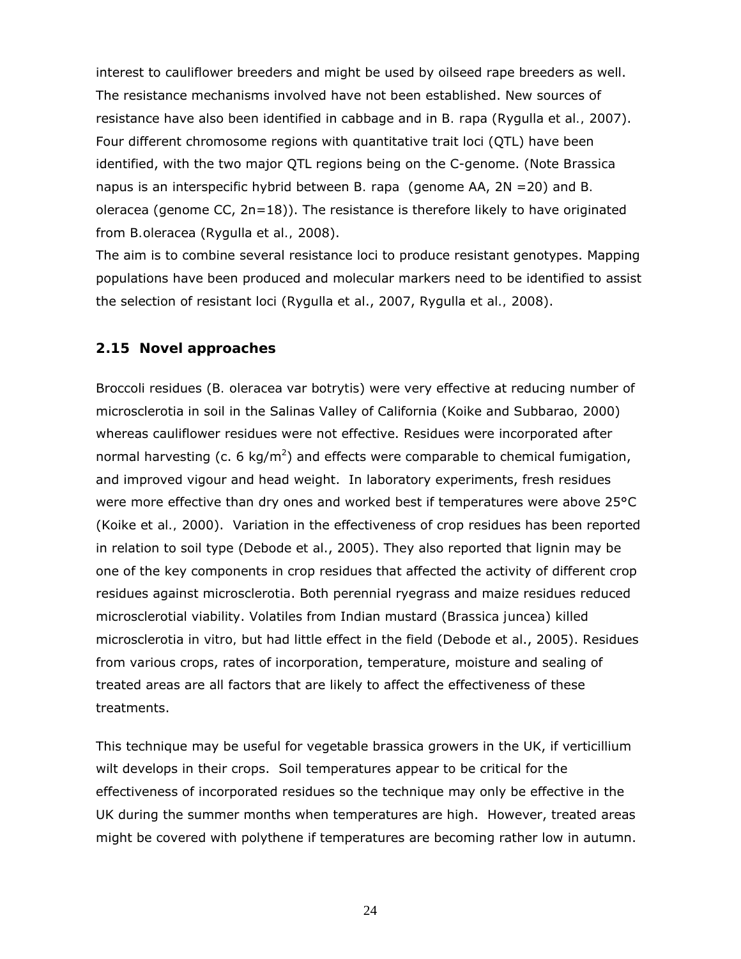interest to cauliflower breeders and might be used by oilseed rape breeders as well. The resistance mechanisms involved have not been established. New sources of resistance have also been identified in cabbage and in *B. rapa* (Rygulla *et al.,* 2007). Four different chromosome regions with quantitative trait loci (QTL) have been identified, with the two major QTL regions being on the C-genome. (Note *Brassica napus* is an interspecific hybrid between *B. rapa* (genome AA, 2N =20) and *B. oleracea* (genome CC, 2n=18)). The resistance is therefore likely to have originated from *B.oleracea* (Rygulla *et al.,* 2008).

The aim is to combine several resistance loci to produce resistant genotypes. Mapping populations have been produced and molecular markers need to be identified to assist the selection of resistant loci (Rygulla *et al*., 2007, Rygulla *et al.,* 2008).

#### **2.15 Novel approaches**

Broccoli residues (*B. oleracea* var *botrytis*) were very effective at reducing number of microsclerotia in soil in the Salinas Valley of California (Koike and Subbarao*,* 2000) whereas cauliflower residues were not effective. Residues were incorporated after normal harvesting (c. 6 kg/m<sup>2</sup>) and effects were comparable to chemical fumigation, and improved vigour and head weight. In laboratory experiments, fresh residues were more effective than dry ones and worked best if temperatures were above 25°C (Koike *et al.,* 2000). Variation in the effectiveness of crop residues has been reported in relation to soil type (Debode *et al*., 2005). They also reported that lignin may be one of the key components in crop residues that affected the activity of different crop residues against microsclerotia. Both perennial ryegrass and maize residues reduced microsclerotial viability. Volatiles from Indian mustard (*Brassica juncea*) killed microsclerotia *in vitro,* but had little effect in the field (Debode *et al*., 2005). Residues from various crops, rates of incorporation, temperature, moisture and sealing of treated areas are all factors that are likely to affect the effectiveness of these treatments.

This technique may be useful for vegetable brassica growers in the UK, if verticillium wilt develops in their crops. Soil temperatures appear to be critical for the effectiveness of incorporated residues so the technique may only be effective in the UK during the summer months when temperatures are high. However, treated areas might be covered with polythene if temperatures are becoming rather low in autumn.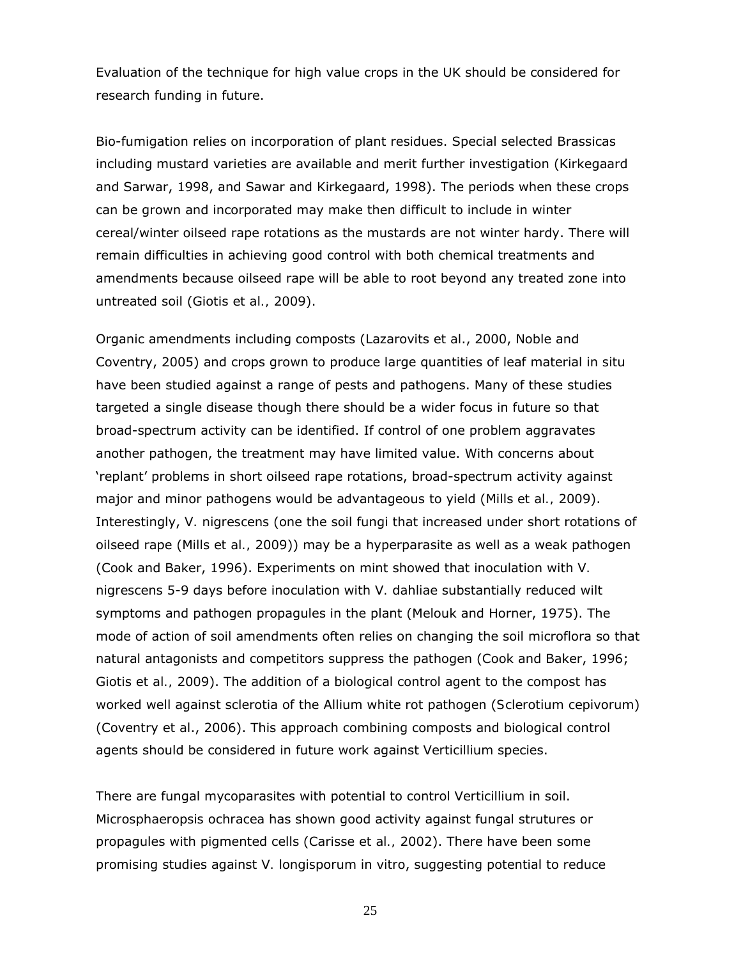Evaluation of the technique for high value crops in the UK should be considered for research funding in future.

Bio-fumigation relies on incorporation of plant residues. Special selected Brassicas including mustard varieties are available and merit further investigation (Kirkegaard and Sarwar, 1998, and Sawar and Kirkegaard, 1998). The periods when these crops can be grown and incorporated may make then difficult to include in winter cereal/winter oilseed rape rotations as the mustards are not winter hardy. There will remain difficulties in achieving good control with both chemical treatments and amendments because oilseed rape will be able to root beyond any treated zone into untreated soil (Giotis *et al.,* 2009).

Organic amendments including composts (Lazarovits *et al*., 2000, Noble and Coventry, 2005) and crops grown to produce large quantities of leaf material *in situ* have been studied against a range of pests and pathogens. Many of these studies targeted a single disease though there should be a wider focus in future so that broad-spectrum activity can be identified. If control of one problem aggravates another pathogen, the treatment may have limited value. With concerns about 'replant' problems in short oilseed rape rotations, broad-spectrum activity against major and minor pathogens would be advantageous to yield (Mills *et al.,* 2009). Interestingly, *V. nigrescens* (one the soil fungi that increased under short rotations of oilseed rape (Mills *et al.,* 2009)) may be a hyperparasite as well as a weak pathogen (Cook and Baker, 1996). Experiments on mint showed that inoculation with *V. nigrescens* 5-9 days before inoculation with *V. dahliae* substantially reduced wilt symptoms and pathogen propagules in the plant (Melouk and Horner, 1975). The mode of action of soil amendments often relies on changing the soil microflora so that natural antagonists and competitors suppress the pathogen (Cook and Baker, 1996; Giotis *et al.,* 2009). The addition of a biological control agent to the compost has worked well against sclerotia of the Allium white rot pathogen (*Sclerotium cepivorum*) (Coventry *et al*., 2006). This approach combining composts and biological control agents should be considered in future work against *Verticillium* species.

There are fungal mycoparasites with potential to control *Verticillium* in soil. *Microsphaeropsis ochracea* has shown good activity against fungal strutures or propagules with pigmented cells (Carisse *et al.,* 2002). There have been some promising studies against *V. longisporum in vitro*, suggesting potential to reduce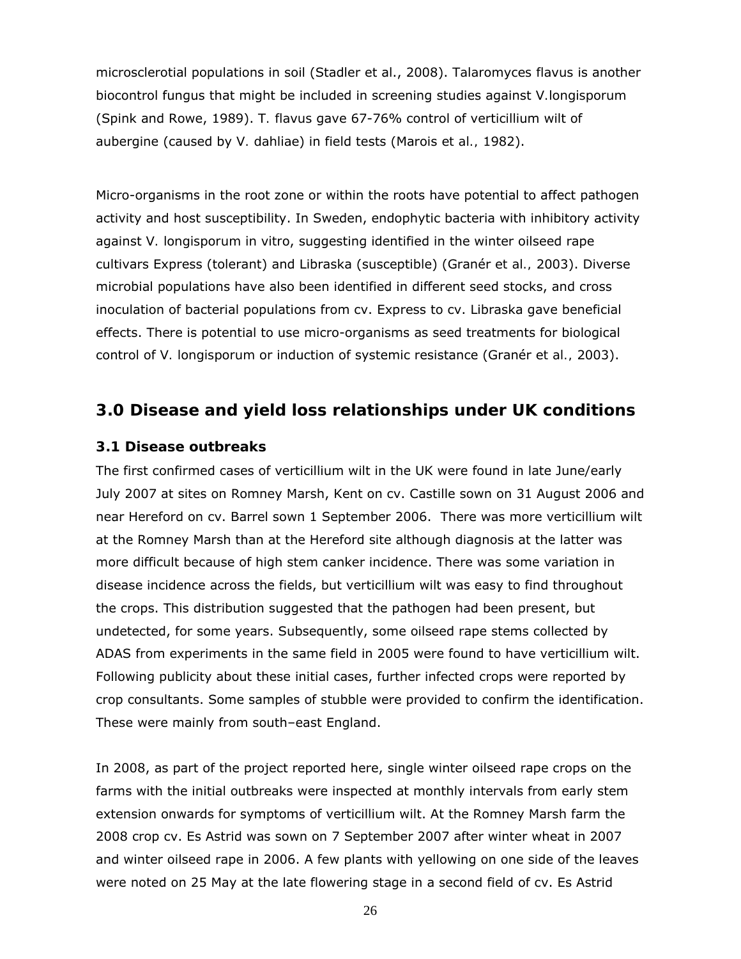microsclerotial populations in soil (Stadler et al., 2008). *Talaromyces flavus* is another biocontrol fungus that might be included in screening studies against *V.longisporum* (Spink and Rowe, 1989). *T. flavus* gave 67-76% control of verticillium wilt of aubergine (caused by *V. dahliae*) in field tests (Marois *et al.,* 1982).

Micro-organisms in the root zone or within the roots have potential to affect pathogen activity and host susceptibility. In Sweden, endophytic bacteria with inhibitory activity against *V. longisporum in vitro*, suggesting identified in the winter oilseed rape cultivars Express (tolerant) and Libraska (susceptible) (Granér *et al.,* 2003). Diverse microbial populations have also been identified in different seed stocks, and cross inoculation of bacterial populations from cv. Express to cv. Libraska gave beneficial effects. There is potential to use micro-organisms as seed treatments for biological control of *V. longisporum* or induction of systemic resistance (Granér *et al.,* 2003).

### **3.0 Disease and yield loss relationships under UK conditions**

#### **3.1 Disease outbreaks**

The first confirmed cases of verticillium wilt in the UK were found in late June/early July 2007 at sites on Romney Marsh, Kent on cv. Castille sown on 31 August 2006 and near Hereford on cv. Barrel sown 1 September 2006. There was more verticillium wilt at the Romney Marsh than at the Hereford site although diagnosis at the latter was more difficult because of high stem canker incidence. There was some variation in disease incidence across the fields, but verticillium wilt was easy to find throughout the crops. This distribution suggested that the pathogen had been present, but undetected, for some years. Subsequently, some oilseed rape stems collected by ADAS from experiments in the same field in 2005 were found to have verticillium wilt. Following publicity about these initial cases, further infected crops were reported by crop consultants. Some samples of stubble were provided to confirm the identification. These were mainly from south–east England.

In 2008, as part of the project reported here, single winter oilseed rape crops on the farms with the initial outbreaks were inspected at monthly intervals from early stem extension onwards for symptoms of verticillium wilt. At the Romney Marsh farm the 2008 crop cv. Es Astrid was sown on 7 September 2007 after winter wheat in 2007 and winter oilseed rape in 2006. A few plants with yellowing on one side of the leaves were noted on 25 May at the late flowering stage in a second field of cv. Es Astrid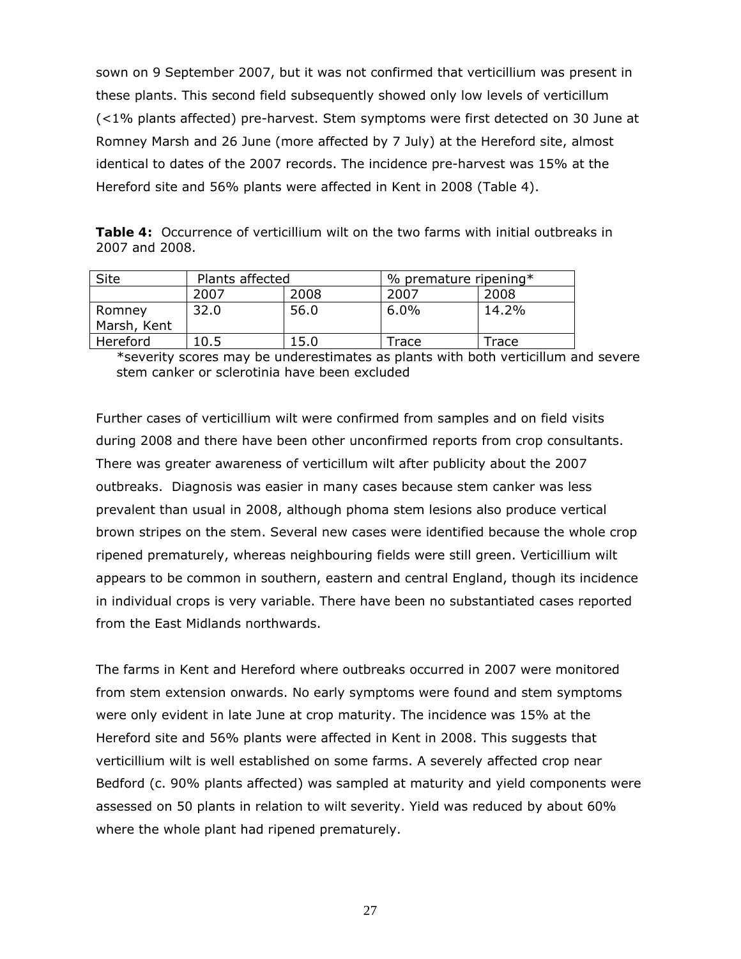sown on 9 September 2007, but it was not confirmed that verticillium was present in these plants. This second field subsequently showed only low levels of verticillum (<1% plants affected) pre-harvest. Stem symptoms were first detected on 30 June at Romney Marsh and 26 June (more affected by 7 July) at the Hereford site, almost identical to dates of the 2007 records. The incidence pre-harvest was 15% at the Hereford site and 56% plants were affected in Kent in 2008 (Table 4).

**Table 4:** Occurrence of verticillium wilt on the two farms with initial outbreaks in 2007 and 2008.

| <b>Site</b>           | Plants affected |      | % premature ripening $*$ |       |
|-----------------------|-----------------|------|--------------------------|-------|
|                       | 2007<br>2008    |      | 2007                     | 2008  |
| Romney<br>Marsh, Kent | 32.0            | 56.0 | 6.0%                     | 14.2% |
| Hereford              | 10.5            | 15.0 | Trace                    | Trace |

\*severity scores may be underestimates as plants with both verticillum and severe stem canker or sclerotinia have been excluded

Further cases of verticillium wilt were confirmed from samples and on field visits during 2008 and there have been other unconfirmed reports from crop consultants. There was greater awareness of verticillum wilt after publicity about the 2007 outbreaks. Diagnosis was easier in many cases because stem canker was less prevalent than usual in 2008, although phoma stem lesions also produce vertical brown stripes on the stem. Several new cases were identified because the whole crop ripened prematurely, whereas neighbouring fields were still green. Verticillium wilt appears to be common in southern, eastern and central England, though its incidence in individual crops is very variable. There have been no substantiated cases reported from the East Midlands northwards.

The farms in Kent and Hereford where outbreaks occurred in 2007 were monitored from stem extension onwards. No early symptoms were found and stem symptoms were only evident in late June at crop maturity. The incidence was 15% at the Hereford site and 56% plants were affected in Kent in 2008. This suggests that verticillium wilt is well established on some farms. A severely affected crop near Bedford (c. 90% plants affected) was sampled at maturity and yield components were assessed on 50 plants in relation to wilt severity. Yield was reduced by about 60% where the whole plant had ripened prematurely.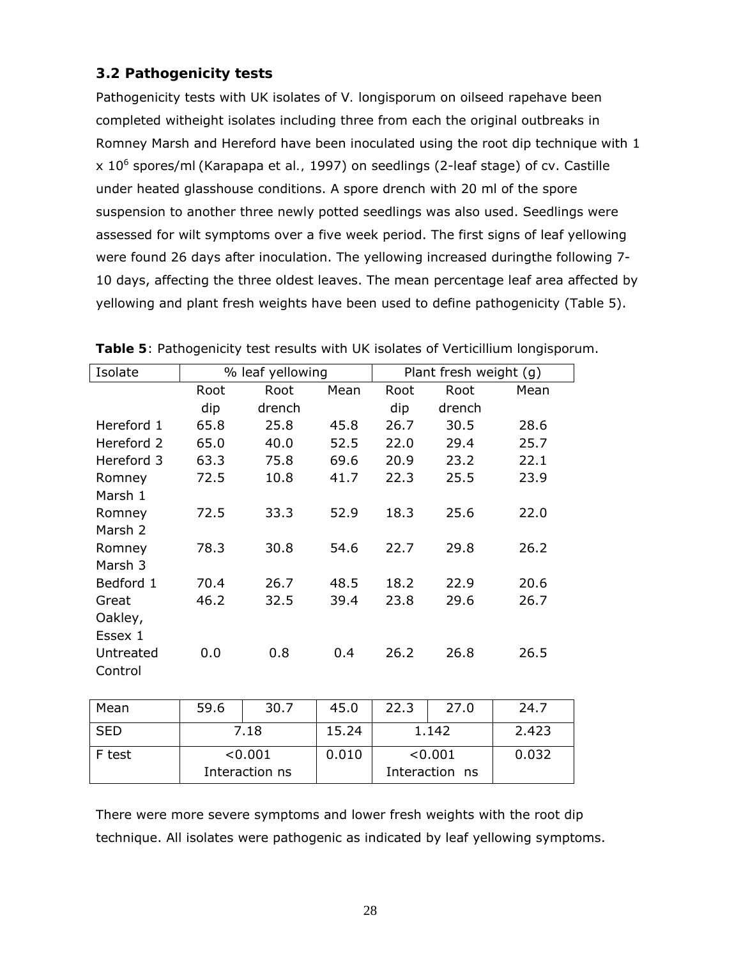### **3.2 Pathogenicity tests**

Pathogenicity tests with UK isolates of *V. longisporum* on oilseed rapehave been completed witheight isolates including three from each the original outbreaks in Romney Marsh and Hereford have been inoculated using the root dip technique with 1 x 106 spores/ml (Karapapa *et al.,* 1997) on seedlings (2-leaf stage) of cv. Castille under heated glasshouse conditions. A spore drench with 20 ml of the spore suspension to another three newly potted seedlings was also used. Seedlings were assessed for wilt symptoms over a five week period. The first signs of leaf yellowing were found 26 days after inoculation. The yellowing increased duringthe following 7- 10 days, affecting the three oldest leaves. The mean percentage leaf area affected by yellowing and plant fresh weights have been used to define pathogenicity (Table 5).

| Isolate    | % leaf yellowing |        | Plant fresh weight (g) |      |        |      |
|------------|------------------|--------|------------------------|------|--------|------|
|            | Root             | Root   | Mean                   | Root | Root   | Mean |
|            | dip              | drench |                        | dip  | drench |      |
| Hereford 1 | 65.8             | 25.8   | 45.8                   | 26.7 | 30.5   | 28.6 |
| Hereford 2 | 65.0             | 40.0   | 52.5                   | 22.0 | 29.4   | 25.7 |
| Hereford 3 | 63.3             | 75.8   | 69.6                   | 20.9 | 23.2   | 22.1 |
| Romney     | 72.5             | 10.8   | 41.7                   | 22.3 | 25.5   | 23.9 |
| Marsh 1    |                  |        |                        |      |        |      |
| Romney     | 72.5             | 33.3   | 52.9                   | 18.3 | 25.6   | 22.0 |
| Marsh 2    |                  |        |                        |      |        |      |
| Romney     | 78.3             | 30.8   | 54.6                   | 22.7 | 29.8   | 26.2 |
| Marsh 3    |                  |        |                        |      |        |      |
| Bedford 1  | 70.4             | 26.7   | 48.5                   | 18.2 | 22.9   | 20.6 |
| Great      | 46.2             | 32.5   | 39.4                   | 23.8 | 29.6   | 26.7 |
| Oakley,    |                  |        |                        |      |        |      |
| Essex 1    |                  |        |                        |      |        |      |
| Untreated  | 0.0              | 0.8    | 0.4                    | 26.2 | 26.8   | 26.5 |
| Control    |                  |        |                        |      |        |      |

|  |  |  | Table 5: Pathogenicity test results with UK isolates of Verticillium longisporum. |
|--|--|--|-----------------------------------------------------------------------------------|
|--|--|--|-----------------------------------------------------------------------------------|

| Mean       | 59.6 | 30.7           | 45.0  | 22.3    | 27.0           | 24.7  |
|------------|------|----------------|-------|---------|----------------|-------|
| <b>SED</b> | 7.18 |                | 15.24 | 1.142   |                | 2.423 |
| F test     |      | < 0.001        | 0.010 | < 0.001 |                | 0.032 |
|            |      | Interaction ns |       |         | Interaction ns |       |

There were more severe symptoms and lower fresh weights with the root dip technique. All isolates were pathogenic as indicated by leaf yellowing symptoms.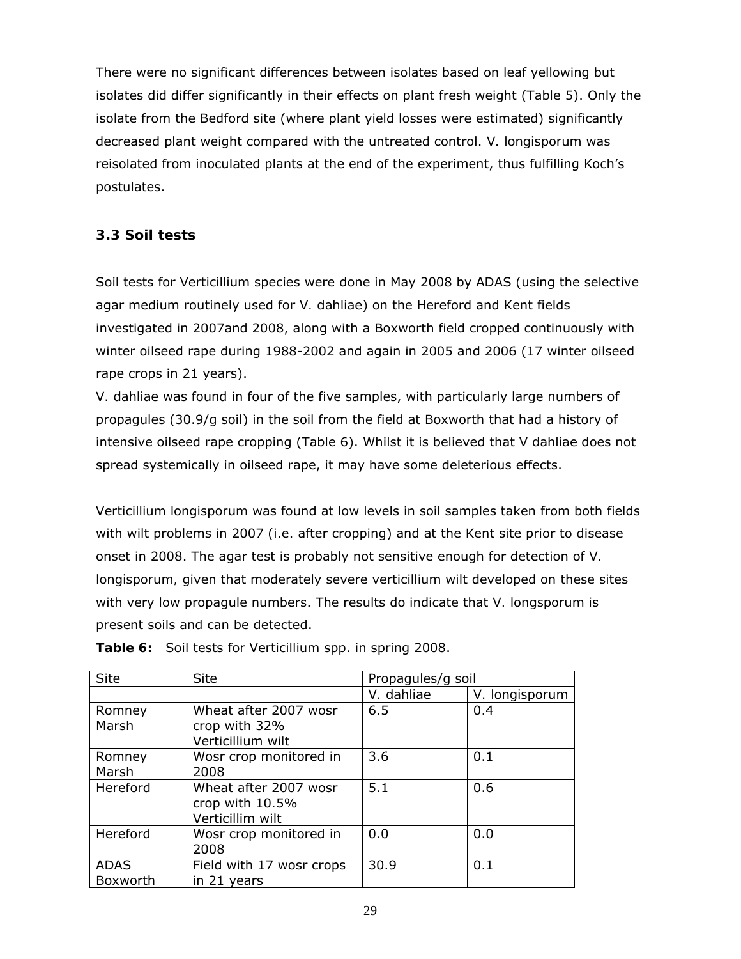There were no significant differences between isolates based on leaf yellowing but isolates did differ significantly in their effects on plant fresh weight (Table 5). Only the isolate from the Bedford site (where plant yield losses were estimated) significantly decreased plant weight compared with the untreated control. *V. longisporum* was reisolated from inoculated plants at the end of the experiment, thus fulfilling Koch's postulates.

### **3.3 Soil tests**

Soil tests for *Verticillium* species were done in May 2008 by ADAS (using the selective agar medium routinely used for *V. dahliae*) on the Hereford and Kent fields investigated in 2007and 2008, along with a Boxworth field cropped continuously with winter oilseed rape during 1988-2002 and again in 2005 and 2006 (17 winter oilseed rape crops in 21 years).

*V. dahliae* was found in four of the five samples, with particularly large numbers of propagules (30.9/g soil) in the soil from the field at Boxworth that had a history of intensive oilseed rape cropping (Table 6). Whilst it is believed that *V dahliae* does not spread systemically in oilseed rape, it may have some deleterious effects.

*Verticillium longisporum* was found at low levels in soil samples taken from both fields with wilt problems in 2007 (i.e. after cropping) and at the Kent site prior to disease onset in 2008. The agar test is probably not sensitive enough for detection of *V. longisporum,* given that moderately severe verticillium wilt developed on these sites with very low propagule numbers. The results do indicate that *V. longsporum* is present soils and can be detected.

| <b>Site</b>             | <b>Site</b>                                                  | Propagules/g soil |                |  |
|-------------------------|--------------------------------------------------------------|-------------------|----------------|--|
|                         |                                                              | V. dahliae        | V. longisporum |  |
| Romney<br>Marsh         | Wheat after 2007 wosr<br>crop with 32%<br>Verticillium wilt  | 6.5               | 0.4            |  |
| Romney<br>Marsh         | Wosr crop monitored in<br>2008                               | 3.6               | 0.1            |  |
| Hereford                | Wheat after 2007 wosr<br>crop with 10.5%<br>Verticillim wilt | 5.1               | 0.6            |  |
| Hereford                | Wosr crop monitored in<br>2008                               | 0.0               | 0.0            |  |
| <b>ADAS</b><br>Boxworth | Field with 17 wosr crops<br>in 21 years                      | 30.9              | 0.1            |  |

**Table 6:** Soil tests for *Verticillium* spp. in spring 2008.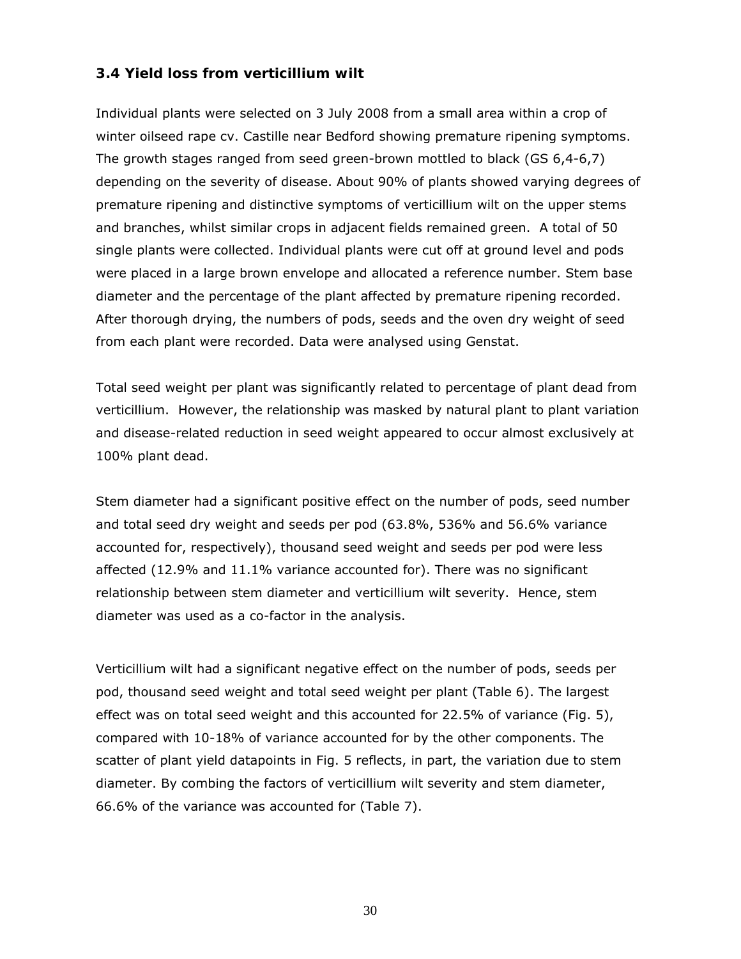### **3.4 Yield loss from verticillium wilt**

Individual plants were selected on 3 July 2008 from a small area within a crop of winter oilseed rape cv. Castille near Bedford showing premature ripening symptoms. The growth stages ranged from seed green-brown mottled to black (GS 6,4-6,7) depending on the severity of disease. About 90% of plants showed varying degrees of premature ripening and distinctive symptoms of verticillium wilt on the upper stems and branches, whilst similar crops in adjacent fields remained green. A total of 50 single plants were collected. Individual plants were cut off at ground level and pods were placed in a large brown envelope and allocated a reference number. Stem base diameter and the percentage of the plant affected by premature ripening recorded. After thorough drying, the numbers of pods, seeds and the oven dry weight of seed from each plant were recorded. Data were analysed using Genstat.

Total seed weight per plant was significantly related to percentage of plant dead from verticillium. However, the relationship was masked by natural plant to plant variation and disease-related reduction in seed weight appeared to occur almost exclusively at 100% plant dead.

Stem diameter had a significant positive effect on the number of pods, seed number and total seed dry weight and seeds per pod (63.8%, 536% and 56.6% variance accounted for, respectively), thousand seed weight and seeds per pod were less affected (12.9% and 11.1% variance accounted for). There was no significant relationship between stem diameter and verticillium wilt severity. Hence, stem diameter was used as a co-factor in the analysis.

Verticillium wilt had a significant negative effect on the number of pods, seeds per pod, thousand seed weight and total seed weight per plant (Table 6). The largest effect was on total seed weight and this accounted for 22.5% of variance (Fig. 5), compared with 10-18% of variance accounted for by the other components. The scatter of plant yield datapoints in Fig. 5 reflects, in part, the variation due to stem diameter. By combing the factors of verticillium wilt severity and stem diameter, 66.6% of the variance was accounted for (Table 7).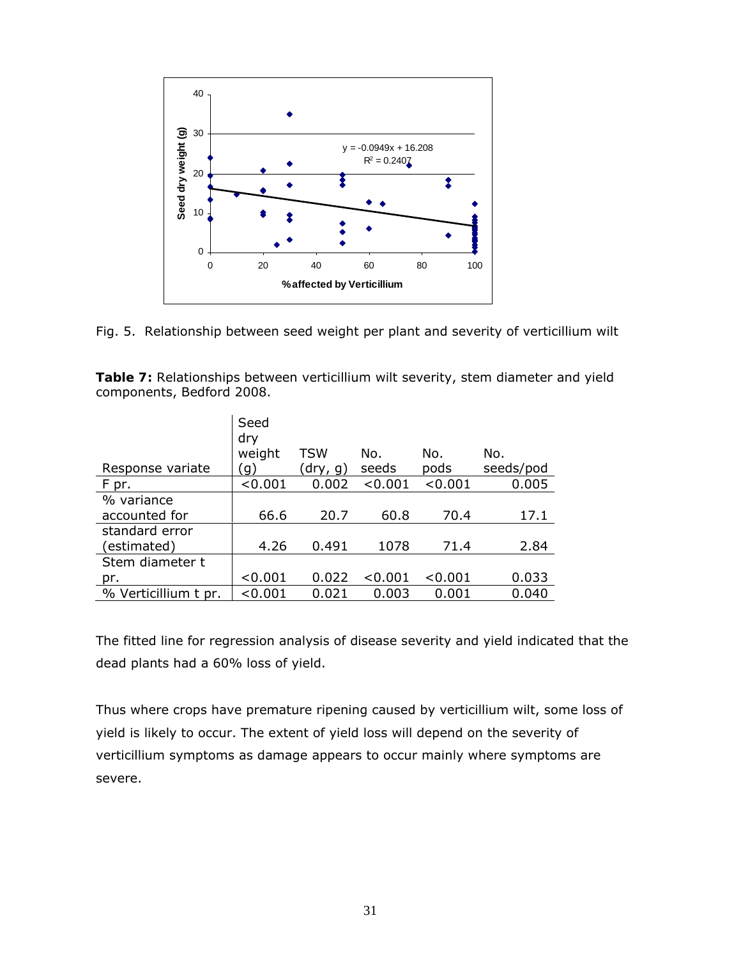

Fig. 5. Relationship between seed weight per plant and severity of verticillium wilt

| Table 7: Relationships between verticillium wilt severity, stem diameter and yield |  |  |
|------------------------------------------------------------------------------------|--|--|
| components, Bedford 2008.                                                          |  |  |

|                      | Seed<br>dry |            |         |         |           |
|----------------------|-------------|------------|---------|---------|-----------|
|                      | weight      | <b>TSW</b> | No.     | No.     | No.       |
| Response variate     | g)          | (dry, g)   | seeds   | pods    | seeds/pod |
| F pr.                | < 0.001     | 0.002      | < 0.001 | < 0.001 | 0.005     |
| % variance           |             |            |         |         |           |
| accounted for        | 66.6        | 20.7       | 60.8    | 70.4    | 17.1      |
| standard error       |             |            |         |         |           |
| (estimated)          | 4.26        | 0.491      | 1078    | 71.4    | 2.84      |
| Stem diameter t      |             |            |         |         |           |
| pr.                  | < 0.001     | 0.022      | < 0.001 | < 0.001 | 0.033     |
| % Verticillium t pr. | < 0.001     | 0.021      | 0.003   | 0.001   | 0.040     |

The fitted line for regression analysis of disease severity and yield indicated that the dead plants had a 60% loss of yield.

Thus where crops have premature ripening caused by verticillium wilt, some loss of yield is likely to occur. The extent of yield loss will depend on the severity of verticillium symptoms as damage appears to occur mainly where symptoms are severe.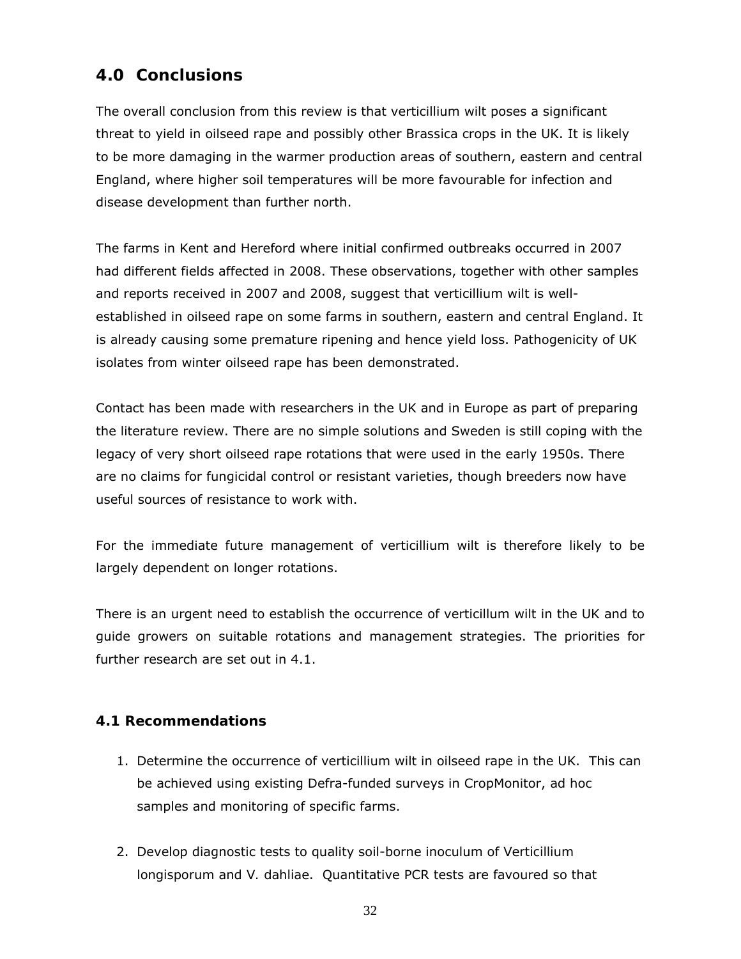# **4.0 Conclusions**

The overall conclusion from this review is that verticillium wilt poses a significant threat to yield in oilseed rape and possibly other *Brassica* crops in the UK. It is likely to be more damaging in the warmer production areas of southern, eastern and central England, where higher soil temperatures will be more favourable for infection and disease development than further north.

The farms in Kent and Hereford where initial confirmed outbreaks occurred in 2007 had different fields affected in 2008. These observations, together with other samples and reports received in 2007 and 2008, suggest that verticillium wilt is wellestablished in oilseed rape on some farms in southern, eastern and central England. It is already causing some premature ripening and hence yield loss. Pathogenicity of UK isolates from winter oilseed rape has been demonstrated.

Contact has been made with researchers in the UK and in Europe as part of preparing the literature review. There are no simple solutions and Sweden is still coping with the legacy of very short oilseed rape rotations that were used in the early 1950s. There are no claims for fungicidal control or resistant varieties, though breeders now have useful sources of resistance to work with.

For the immediate future management of verticillium wilt is therefore likely to be largely dependent on longer rotations.

There is an urgent need to establish the occurrence of verticillum wilt in the UK and to guide growers on suitable rotations and management strategies. The priorities for further research are set out in 4.1.

### **4.1 Recommendations**

- 1. Determine the occurrence of verticillium wilt in oilseed rape in the UK. This can be achieved using existing Defra-funded surveys in CropMonitor, *ad hoc* samples and monitoring of specific farms.
- 2. Develop diagnostic tests to quality soil-borne inoculum of *Verticillium longisporum* and *V. dahliae*. Quantitative PCR tests are favoured so that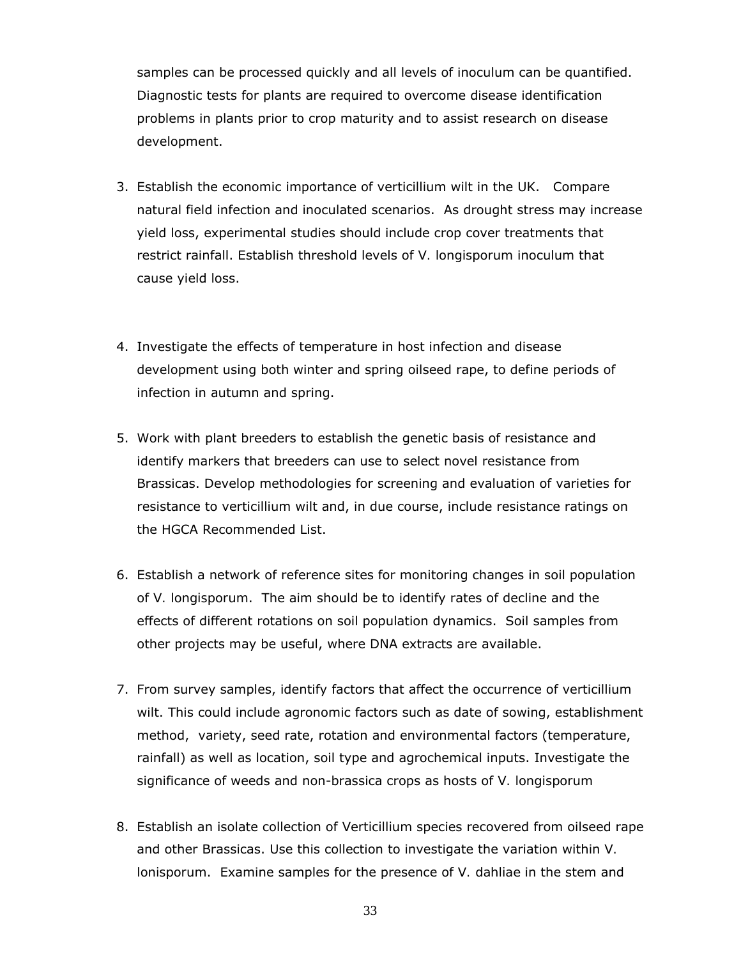samples can be processed quickly and all levels of inoculum can be quantified. Diagnostic tests for plants are required to overcome disease identification problems in plants prior to crop maturity and to assist research on disease development.

- 3. Establish the economic importance of verticillium wilt in the UK. Compare natural field infection and inoculated scenarios. As drought stress may increase yield loss, experimental studies should include crop cover treatments that restrict rainfall. Establish threshold levels of *V. longisporum* inoculum that cause yield loss.
- 4. Investigate the effects of temperature in host infection and disease development using both winter and spring oilseed rape, to define periods of infection in autumn and spring.
- 5. Work with plant breeders to establish the genetic basis of resistance and identify markers that breeders can use to select novel resistance from Brassicas. Develop methodologies for screening and evaluation of varieties for resistance to verticillium wilt and, in due course, include resistance ratings on the HGCA Recommended List.
- 6. Establish a network of reference sites for monitoring changes in soil population of *V. longisporum*. The aim should be to identify rates of decline and the effects of different rotations on soil population dynamics. Soil samples from other projects may be useful, where DNA extracts are available.
- 7. From survey samples, identify factors that affect the occurrence of verticillium wilt. This could include agronomic factors such as date of sowing, establishment method, variety, seed rate, rotation and environmental factors (temperature, rainfall) as well as location, soil type and agrochemical inputs. Investigate the significance of weeds and non-brassica crops as hosts of *V. longisporum*
- 8. Establish an isolate collection of *Verticillium* species recovered from oilseed rape and other Brassicas. Use this collection to investigate the variation within *V. lonisporum*. Examine samples for the presence of *V. dahliae* in the stem and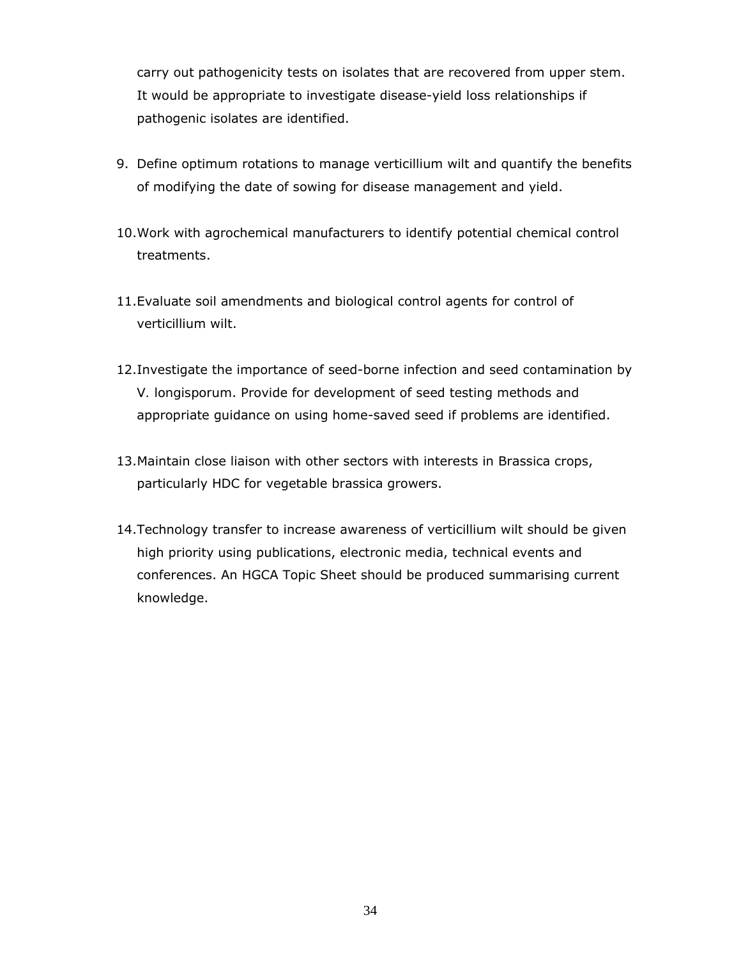carry out pathogenicity tests on isolates that are recovered from upper stem. It would be appropriate to investigate disease-yield loss relationships if pathogenic isolates are identified.

- 9. Define optimum rotations to manage verticillium wilt and quantify the benefits of modifying the date of sowing for disease management and yield.
- 10.Work with agrochemical manufacturers to identify potential chemical control treatments.
- 11.Evaluate soil amendments and biological control agents for control of verticillium wilt.
- 12.Investigate the importance of seed-borne infection and seed contamination by *V. longisporum*. Provide for development of seed testing methods and appropriate guidance on using home-saved seed if problems are identified.
- 13.Maintain close liaison with other sectors with interests in Brassica crops, particularly HDC for vegetable brassica growers.
- 14.Technology transfer to increase awareness of verticillium wilt should be given high priority using publications, electronic media, technical events and conferences. An HGCA Topic Sheet should be produced summarising current knowledge.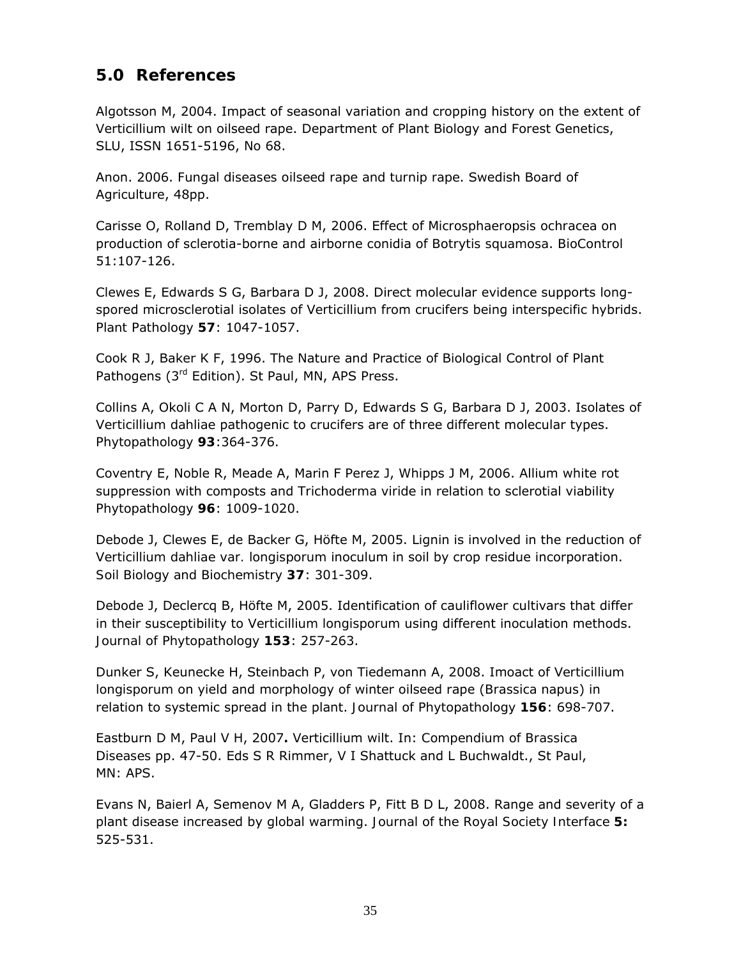# **5.0 References**

Algotsson M, 2004. Impact of seasonal variation and cropping history on the extent of Verticillium wilt on oilseed rape. Department of Plant Biology and Forest Genetics, SLU, ISSN 1651-5196, No 68.

Anon. 2006. *Fungal diseases oilseed rape and turnip rape*. Swedish Board of Agriculture, 48pp.

Carisse O, Rolland D, Tremblay D M, 2006. Effect of *Microsphaeropsis ochracea* on production of sclerotia-borne and airborne conidia of *Botrytis squamosa*. *BioControl*  51:107-126.

Clewes E, Edwards S G, Barbara D J, 2008. Direct molecular evidence supports longspored microsclerotial isolates of *Verticillium* from crucifers being interspecific hybrids. *Plant Pathology* **57**: 1047-1057.

Cook R J, Baker K F, 1996. The Nature and Practice of Biological Control of Plant Pathogens (3<sup>rd</sup> Edition). St Paul, MN, APS Press.

Collins A, Okoli C A N, Morton D, Parry D, Edwards S G, Barbara D J, 2003. Isolates of *Verticillium dahliae* pathogenic to crucifers are of three different molecular types. *Phytopathology* **93**:364-376.

Coventry E, Noble R, Meade A, Marin F Perez J, Whipps J M, 2006. Allium white rot suppression with composts and *Trichoderma viride* in relation to sclerotial viability *Phytopathology* **96**: 1009-1020.

Debode J, Clewes E, de Backer G, Höfte M, 2005. Lignin is involved in the reduction of *Verticillium dahliae var. longisporum* inoculum in soil by crop residue incorporation. *Soil Biology and Biochemistry* **37**: 301-309.

Debode J, Declercq B, Höfte M, 2005. Identification of cauliflower cultivars that differ in their susceptibility to *Verticillium longisporum* using different inoculation methods. *Journal of Phytopathology* **153**: 257-263.

Dunker S, Keunecke H, Steinbach P, von Tiedemann A, 2008. Imoact of *Verticillium longisporum* on yield and morphology of winter oilseed rape (*Brassica napus*) in relation to systemic spread in the plant. *Journal of Phytopathology* **156**: 698-707.

Eastburn D M, Paul V H, 2007**.** Verticillium wilt. In: *Compendium of Brassica Diseases* pp. 47-50. Eds S R Rimmer, V I Shattuck and L Buchwaldt., St Paul, MN: APS.

Evans N, Baierl A, Semenov M A, Gladders P, Fitt B D L, 2008. Range and severity of a plant disease increased by global warming. *Journal of the Royal Society Interface* **5:** 525-531.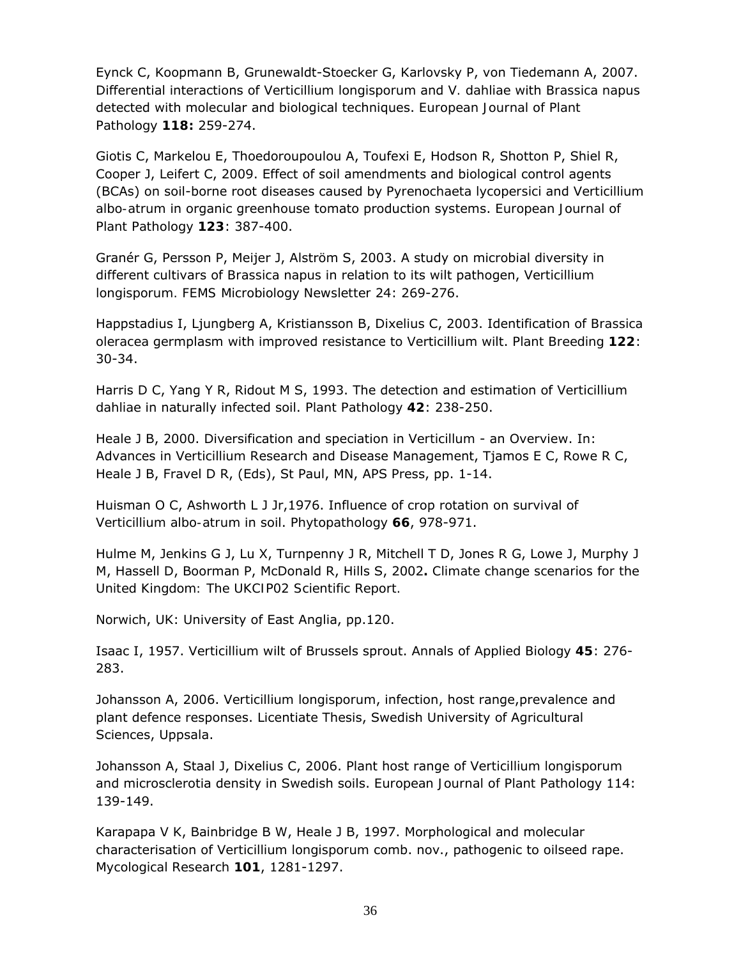Eynck C, Koopmann B, Grunewaldt-Stoecker G, Karlovsky P, von Tiedemann A, 2007. Differential interactions of *Verticillium longisporum* and *V. dahliae* with *Brassica napus* detected with molecular and biological techniques. *European Journal of Plant Pathology* **118:** 259-274.

Giotis C, Markelou E, Thoedoroupoulou A, Toufexi E, Hodson R, Shotton P, Shiel R, Cooper J, Leifert C, 2009. Effect of soil amendments and biological control agents (BCAs) on soil-borne root diseases caused by *Pyrenochaeta lycopersici* and *Verticillium albo-atrum* in organic greenhouse tomato production systems. *European Journal of Plant Pathology* **123**: 387-400.

Granér G, Persson P, Meijer J, Alström S, 2003. A study on microbial diversity in different cultivars of *Brassica napus* in relation to its wilt pathogen, *Verticillium longisporum. FEMS Microbiology Newsletter* 24: 269-276.

Happstadius I, Ljungberg A, Kristiansson B, Dixelius C, 2003. Identification of *Brassica oleracea* germplasm with improved resistance to Verticillium wilt. *Plant Breeding* **122**: 30-34.

Harris D C, Yang Y R, Ridout M S, 1993. The detection and estimation of *Verticillium dahliae* in naturally infected soil. *Plant Pathology* **42**: 238-250.

Heale J B, 2000. Diversification and speciation in *Verticillum* - an Overview. In: Advances in *Verticillium* Research and Disease Management, Tjamos E C, Rowe R C, Heale J B, Fravel D R, (Eds), St Paul, MN, APS Press, pp. 1-14.

Huisman O C, Ashworth L J Jr,1976. Influence of crop rotation on survival of *Verticillium albo-atrum* in soil. *Phytopathology* **66**, 978-971.

Hulme M, Jenkins G J, Lu X, Turnpenny J R, Mitchell T D, Jones R G, Lowe J, Murphy J M, Hassell D, Boorman P, McDonald R, Hills S, 2002**.** *Climate change scenarios for the United Kingdom: The UKCIP02 Scientific Report.* 

Norwich, UK: University of East Anglia, pp.120.

Isaac I, 1957. *Verticillium* wilt of Brussels sprout. *Annals of Applied Biology* **45**: 276- 283.

Johansson A, 2006. *Verticillium longisporum*, infection, host range,prevalence and plant defence responses. Licentiate Thesis, Swedish University of Agricultural Sciences, Uppsala.

Johansson A, Staal J, Dixelius C, 2006. Plant host range of *Verticillium longisporum* and microsclerotia density in Swedish soils. *European Journal of Plant Pathology* 114: 139-149.

Karapapa V K, Bainbridge B W, Heale J B, 1997. Morphological and molecular characterisation of *Verticillium longisporum* comb. nov., pathogenic to oilseed rape. *Mycological Research* **101**, 1281-1297.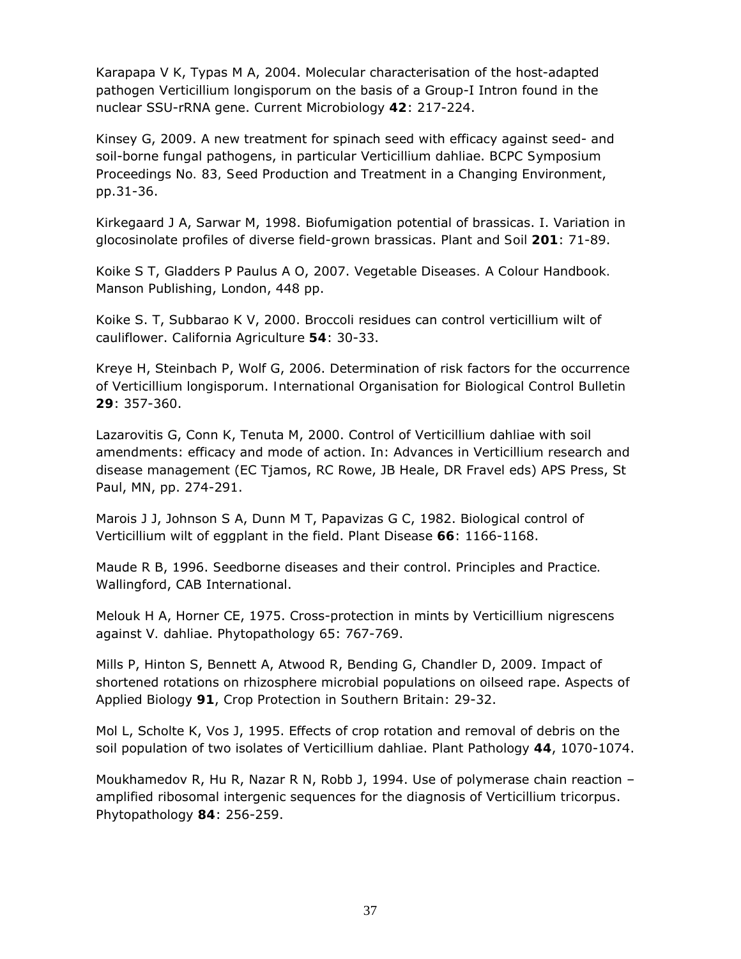Karapapa V K, Typas M A, 2004. Molecular characterisation of the host-adapted pathogen *Verticillium longisporum* on the basis of a Group-I Intron found in the nuclear SSU-rRNA gene. *Current Microbiology* **42**: 217-224.

Kinsey G, 2009. A new treatment for spinach seed with efficacy against seed- and soil-borne fungal pathogens, in particular *Verticillium dahliae*. *BCPC Symposium Proceedings No. 83, Seed Production and Treatment in a Changing Environment*, pp.31-36.

Kirkegaard J A, Sarwar M, 1998. Biofumigation potential of brassicas. I. Variation in glocosinolate profiles of diverse field-grown brassicas. *Plant and Soil* **201**: 71-89.

Koike S T, Gladders P Paulus A O, 2007. *Vegetable Diseases. A Colour Handbook.* Manson Publishing, London, 448 pp.

Koike S. T, Subbarao K V, 2000. Broccoli residues can control verticillium wilt of cauliflower. *California Agriculture* **54**: 30-33.

Kreye H, Steinbach P, Wolf G, 2006. Determination of risk factors for the occurrence of *Verticillium longisporum*. *International Organisation for Biological Control Bulletin* **29**: 357-360.

Lazarovitis G, Conn K, Tenuta M, 2000. Control of *Verticillium dahliae* with soil amendments: efficacy and mode of action. In: *Advances in Verticillium research and disease management* (EC Tjamos, RC Rowe, JB Heale, DR Fravel eds) APS Press, St Paul, MN, pp. 274-291.

Marois J J, Johnson S A, Dunn M T, Papavizas G C, 1982. Biological control of Verticillium wilt of eggplant in the field. *Plant Disease* **66**: 1166-1168.

Maude R B, 1996. *Seedborne diseases and their control*. *Principles and Practice.* Wallingford, CAB International.

Melouk H A, Horner CE, 1975. Cross-protection in mints by *Verticillium nigrescens*  against *V. dahliae*. *Phytopathology* 65: 767-769.

Mills P, Hinton S, Bennett A, Atwood R, Bending G, Chandler D, 2009. Impact of shortened rotations on rhizosphere microbial populations on oilseed rape. *Aspects of Applied Biology* **91**, *Crop Protection in Southern Britain*: 29-32.

Mol L, Scholte K, Vos J, 1995. Effects of crop rotation and removal of debris on the soil population of two isolates of *Verticillium dahliae*. *Plant Pathology* **44**, 1070-1074.

Moukhamedov R, Hu R, Nazar R N, Robb J, 1994. Use of polymerase chain reaction – amplified ribosomal intergenic sequences for the diagnosis of *Verticillium tricorpus*. *Phytopathology* **84**: 256-259.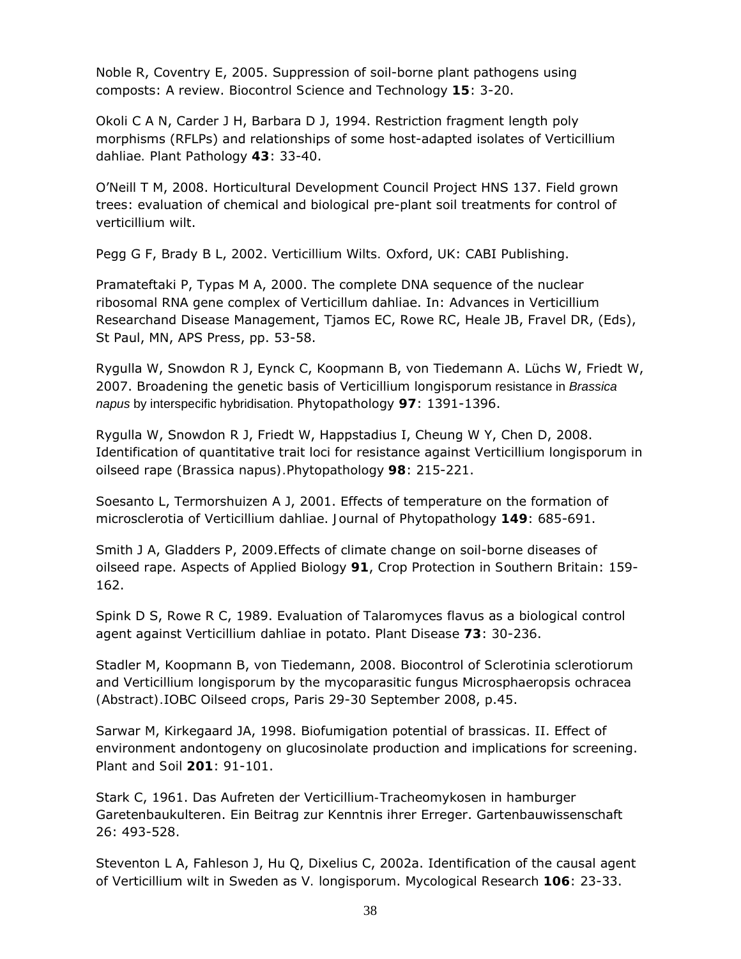Noble R, Coventry E, 2005. Suppression of soil-borne plant pathogens using composts: A review. *Biocontrol Science and Technology* **15**: 3-20.

Okoli C A N, Carder J H, Barbara D J, 1994. Restriction fragment length poly morphisms (RFLPs) and relationships of some host-adapted isolates of *Verticillium dahliae. Plant Pathology* **43**: 33-40.

O'Neill T M, 2008. Horticultural Development Council Project HNS 137. Field grown trees: evaluation of chemical and biological pre-plant soil treatments for control of verticillium wilt.

Pegg G F, Brady B L, 2002. *Verticillium Wilts.* Oxford, UK: CABI Publishing.

Pramateftaki P, Typas M A, 2000. The complete DNA sequence of the nuclear ribosomal RNA gene complex of *Verticillum dahliae*. In: Advances in Verticillium Researchand Disease Management, Tjamos EC, Rowe RC, Heale JB, Fravel DR, (Eds), St Paul, MN, APS Press, pp. 53-58.

Rygulla W, Snowdon R J, Eynck C, Koopmann B, von Tiedemann A. Lüchs W, Friedt W, 2007. Broadening the genetic basis of *Verticillium longisporum* resistance in *Brassica napus* by interspecific hybridisation. *Phytopathology* **97**: 1391-1396.

Rygulla W, Snowdon R J, Friedt W, Happstadius I, Cheung W Y, Chen D, 2008. Identification of quantitative trait loci for resistance against *Verticillium longisporum* in oilseed rape (*Brassica napus).Phytopathology* **98**: 215-221.

Soesanto L, Termorshuizen A J, 2001. Effects of temperature on the formation of microsclerotia of *Verticillium dahliae*. *Journal of Phytopathology* **149**: 685-691.

Smith J A, Gladders P, 2009.Effects of climate change on soil-borne diseases of oilseed rape. *Aspects of Applied Biology* **91**, *Crop Protection in Southern Britain*: 159- 162.

Spink D S, Rowe R C, 1989. Evaluation of *Talaromyces flavus* as a biological control agent against *Verticillium dahliae* in potato. *Plant Disease* **73**: 30-236.

Stadler M, Koopmann B, von Tiedemann, 2008. Biocontrol of *Sclerotinia sclerotiorum* and *Verticillium longisporum* by the mycoparasitic fungus *Microsphaeropsis ochracea (Abstract).*IOBC Oilseed crops, Paris 29-30 September 2008, p.45.

Sarwar M, Kirkegaard JA, 1998. Biofumigation potential of brassicas. II. Effect of environment andontogeny on glucosinolate production and implications for screening. *Plant and Soil* **201**: 91-101.

Stark C, 1961. Das Aufreten der *Verticillium-Tracheomykosen* in hamburger Garetenbaukulteren. Ein Beitrag zur Kenntnis ihrer Erreger. Gartenbauwissenschaft 26: 493-528.

Steventon L A, Fahleson J, Hu Q, Dixelius C, 2002a. Identification of the causal agent of Verticillium wilt in Sweden as *V. longisporum*. *Mycological Research* **106**: 23-33.